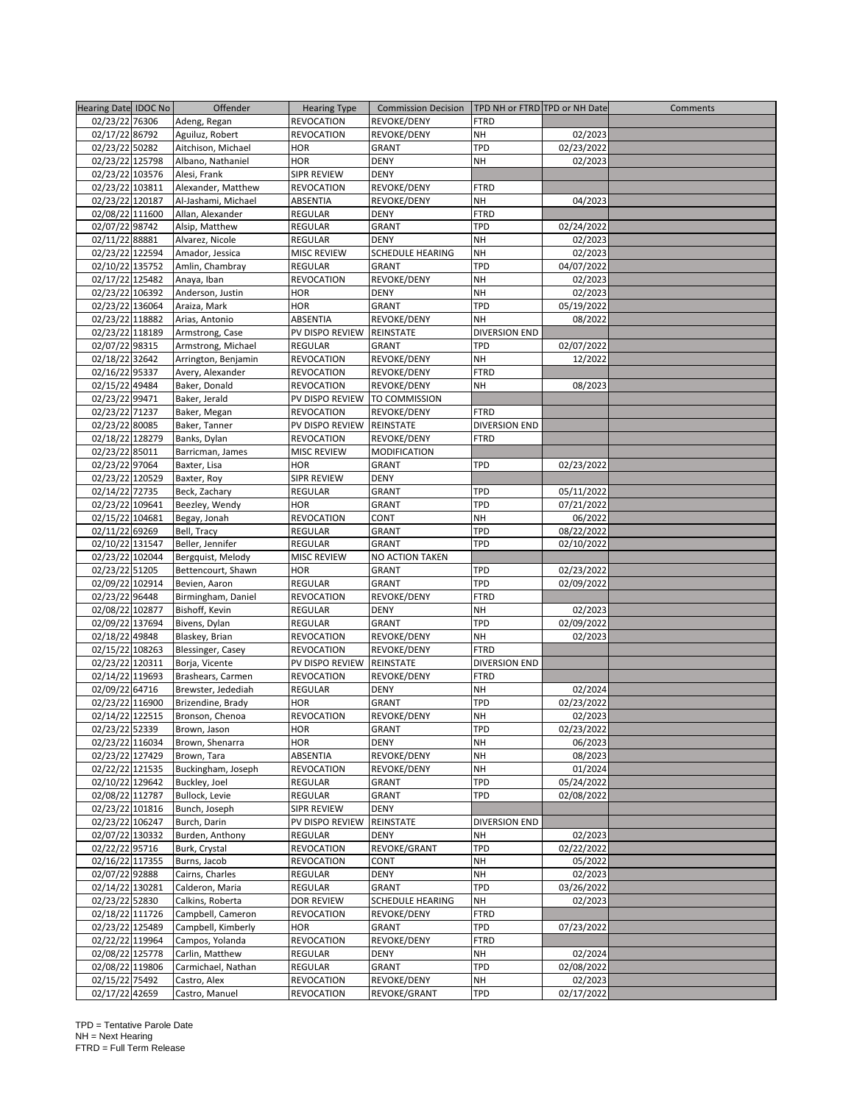| Hearing Date IDOC No | Offender            | <b>Hearing Type</b> | <b>Commission Decision</b> | TPD NH or FTRD TPD or NH Date |            | Comments |
|----------------------|---------------------|---------------------|----------------------------|-------------------------------|------------|----------|
| 02/23/22 76306       | Adeng, Regan        | REVOCATION          | REVOKE/DENY                | FTRD                          |            |          |
|                      |                     |                     |                            |                               |            |          |
| 02/17/22 86792       | Aguiluz, Robert     | REVOCATION          | REVOKE/DENY                | NΗ                            | 02/2023    |          |
| 02/23/22 50282       | Aitchison, Michael  | HOR                 | <b>GRANT</b>               | TPD                           | 02/23/2022 |          |
| 02/23/22 125798      | Albano, Nathaniel   | <b>HOR</b>          | <b>DENY</b>                | <b>NH</b>                     | 02/2023    |          |
| 02/23/22 103576      | Alesi, Frank        | SIPR REVIEW         | <b>DENY</b>                |                               |            |          |
| 02/23/22 103811      | Alexander, Matthew  | REVOCATION          | REVOKE/DENY                | FTRD                          |            |          |
| 02/23/22 120187      | Al-Jashami, Michael |                     | REVOKE/DENY                | NΗ                            | 04/2023    |          |
|                      |                     | ABSENTIA            |                            |                               |            |          |
| 02/08/22 111600      | Allan, Alexander    | REGULAR             | <b>DENY</b>                | FTRD                          |            |          |
| 02/07/22 98742       | Alsip, Matthew      | REGULAR             | <b>GRANT</b>               | TPD                           | 02/24/2022 |          |
| 02/11/22 88881       | Alvarez, Nicole     | <b>REGULAR</b>      | <b>DENY</b>                | <b>NH</b>                     | 02/2023    |          |
| 02/23/22 122594      | Amador, Jessica     | <b>MISC REVIEW</b>  | <b>SCHEDULE HEARING</b>    | <b>NH</b>                     | 02/2023    |          |
| 02/10/22 135752      | Amlin, Chambray     | REGULAR             | <b>GRANT</b>               | TPD                           | 04/07/2022 |          |
| 02/17/22 125482      | Anaya, Iban         | <b>REVOCATION</b>   | REVOKE/DENY                | NΗ                            | 02/2023    |          |
|                      |                     |                     |                            |                               |            |          |
| 02/23/22 106392      | Anderson, Justin    | HOR                 | DENY                       | NΗ                            | 02/2023    |          |
| 02/23/22 136064      | Araiza, Mark        | HOR                 | <b>GRANT</b>               | TPD                           | 05/19/2022 |          |
| 02/23/22 118882      | Arias, Antonio      | ABSENTIA            | REVOKE/DENY                | NΗ                            | 08/2022    |          |
| 02/23/22 118189      | Armstrong, Case     | PV DISPO REVIEW     | REINSTATE                  | <b>DIVERSION END</b>          |            |          |
| 02/07/22 98315       | Armstrong, Michael  | <b>REGULAR</b>      | <b>GRANT</b>               | TPD                           | 02/07/2022 |          |
| 02/18/22 32642       | Arrington, Benjamin | REVOCATION          | REVOKE/DENY                | NΗ                            | 12/2022    |          |
| 02/16/22 95337       |                     |                     |                            |                               |            |          |
|                      | Avery, Alexander    | REVOCATION          | REVOKE/DENY                | FTRD                          |            |          |
| 02/15/22 49484       | Baker, Donald       | REVOCATION          | REVOKE/DENY                | NΗ                            | 08/2023    |          |
| 02/23/22 99471       | Baker, Jerald       | PV DISPO REVIEW     | TO COMMISSION              |                               |            |          |
| 02/23/22 71237       | Baker, Megan        | <b>REVOCATION</b>   | REVOKE/DENY                | FTRD                          |            |          |
| 02/23/22 80085       | Baker, Tanner       | PV DISPO REVIEW     | <b>REINSTATE</b>           | DIVERSION END                 |            |          |
| 02/18/22 128279      | Banks, Dylan        | REVOCATION          | REVOKE/DENY                | <b>FTRD</b>                   |            |          |
| 02/23/22 85011       | Barricman, James    | MISC REVIEW         | MODIFICATION               |                               |            |          |
| 02/23/22 97064       |                     | HOR                 |                            | TPD                           |            |          |
|                      | Baxter, Lisa        |                     | <b>GRANT</b>               |                               | 02/23/2022 |          |
| 02/23/22 120529      | Baxter, Roy         | SIPR REVIEW         | <b>DENY</b>                |                               |            |          |
| 02/14/22 72735       | Beck, Zachary       | REGULAR             | <b>GRANT</b>               | TPD                           | 05/11/2022 |          |
| 02/23/22 109641      | Beezley, Wendy      | HOR                 | <b>GRANT</b>               | TPD                           | 07/21/2022 |          |
| 02/15/22 104681      | Begay, Jonah        | REVOCATION          | CONT                       | NΗ                            | 06/2022    |          |
| 02/11/22 69269       | Bell, Tracy         | REGULAR             | <b>GRANT</b>               | TPD                           | 08/22/2022 |          |
| 02/10/22 131547      | Beller, Jennifer    | <b>REGULAR</b>      | <b>GRANT</b>               | TPD                           | 02/10/2022 |          |
| 02/23/22 102044      | Bergquist, Melody   | MISC REVIEW         | NO ACTION TAKEN            |                               |            |          |
| 02/23/22 51205       | Bettencourt, Shawn  | <b>HOR</b>          | <b>GRANT</b>               | TPD                           | 02/23/2022 |          |
|                      |                     |                     |                            |                               |            |          |
| 02/09/22 102914      | Bevien, Aaron       | REGULAR             | <b>GRANT</b>               | TPD                           | 02/09/2022 |          |
| 02/23/22 96448       | Birmingham, Daniel  | REVOCATION          | REVOKE/DENY                | FTRD                          |            |          |
| 02/08/22 102877      | Bishoff, Kevin      | REGULAR             | <b>DENY</b>                | NΗ                            | 02/2023    |          |
| 02/09/22 137694      | Bivens, Dylan       | REGULAR             | <b>GRANT</b>               | TPD                           | 02/09/2022 |          |
| 02/18/22 49848       | Blaskey, Brian      | REVOCATION          | REVOKE/DENY                | NΗ                            | 02/2023    |          |
| 02/15/22 108263      | Blessinger, Casey   | <b>REVOCATION</b>   | REVOKE/DENY                | FTRD                          |            |          |
| 02/23/22 120311      | Borja, Vicente      | PV DISPO REVIEW     | REINSTATE                  | <b>DIVERSION END</b>          |            |          |
| 02/14/22 119693      |                     | <b>REVOCATION</b>   | REVOKE/DENY                | FTRD                          |            |          |
|                      | Brashears, Carmen   |                     |                            |                               |            |          |
| 02/09/22 64716       | Brewster, Jedediah  | REGULAR             | <b>DENY</b>                | NΗ                            | 02/2024    |          |
| 02/23/22 116900      | Brizendine, Brady   | HOR                 | GRANT                      | TPD                           | 02/23/2022 |          |
| 02/14/22 122515      | Bronson, Chenoa     | REVOCATION          | REVOKE/DENY                | NH                            | 02/2023    |          |
| 02/23/22 52339       | Brown, Jason        | HOR                 | <b>GRANT</b>               | TPD                           | 02/23/2022 |          |
| 02/23/22 116034      | Brown, Shenarra     | HOR                 | <b>DENY</b>                | NΗ                            | 06/2023    |          |
| 02/23/22 127429      | Brown, Tara         | ABSENTIA            | REVOKE/DENY                | NΗ                            | 08/2023    |          |
| 02/22/22 121535      |                     |                     |                            |                               |            |          |
|                      | Buckingham, Joseph  | REVOCATION          | REVOKE/DENY                | NΗ                            | 01/2024    |          |
| 02/10/22 129642      | Buckley, Joel       | REGULAR             | GRANT                      | TPD                           | 05/24/2022 |          |
| 02/08/22 112787      | Bullock, Levie      | REGULAR             | GRANT                      | TPD                           | 02/08/2022 |          |
| 02/23/22 101816      | Bunch, Joseph       | SIPR REVIEW         | <b>DENY</b>                |                               |            |          |
| 02/23/22 106247      | Burch, Darin        | PV DISPO REVIEW     | REINSTATE                  | DIVERSION END                 |            |          |
| 02/07/22 130332      | Burden, Anthony     | REGULAR             | <b>DENY</b>                | NΗ                            | 02/2023    |          |
| 02/22/22 95716       | Burk, Crystal       | REVOCATION          | REVOKE/GRANT               | TPD                           | 02/22/2022 |          |
| 02/16/22 117355      | Burns, Jacob        | REVOCATION          | CONT                       | NΗ                            | 05/2022    |          |
| 02/07/22 92888       | Cairns, Charles     | REGULAR             | <b>DENY</b>                | NΗ                            | 02/2023    |          |
|                      |                     |                     |                            |                               |            |          |
| 02/14/22 130281      | Calderon, Maria     | REGULAR             | <b>GRANT</b>               | TPD                           | 03/26/2022 |          |
| 02/23/22 52830       | Calkins, Roberta    | <b>DOR REVIEW</b>   | <b>SCHEDULE HEARING</b>    | NΗ                            | 02/2023    |          |
| 02/18/22 111726      | Campbell, Cameron   | <b>REVOCATION</b>   | REVOKE/DENY                | FTRD                          |            |          |
| 02/23/22 125489      | Campbell, Kimberly  | HOR                 | GRANT                      | TPD                           | 07/23/2022 |          |
| 02/22/22 119964      | Campos, Yolanda     | REVOCATION          | REVOKE/DENY                | FTRD                          |            |          |
| 02/08/22 125778      | Carlin, Matthew     | REGULAR             | DENY                       | NΗ                            | 02/2024    |          |
| 02/08/22 119806      | Carmichael, Nathan  | REGULAR             | GRANT                      | TPD                           | 02/08/2022 |          |
| 02/15/22 75492       | Castro, Alex        | <b>REVOCATION</b>   | REVOKE/DENY                | NΗ                            | 02/2023    |          |
| 02/17/22 42659       | Castro, Manuel      | REVOCATION          | REVOKE/GRANT               | TPD                           | 02/17/2022 |          |
|                      |                     |                     |                            |                               |            |          |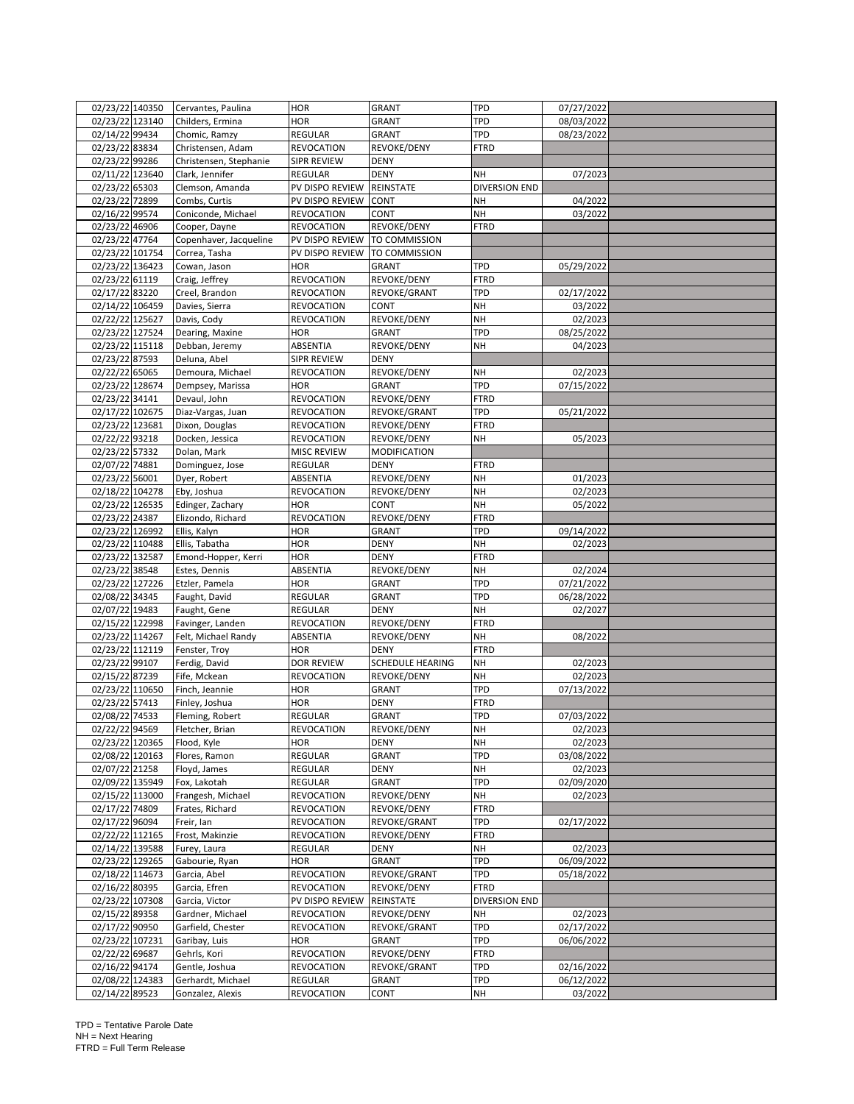| 02/23/22 140350 | Cervantes, Paulina     | <b>HOR</b>         | <b>GRANT</b>            | TPD                          | 07/27/2022 |  |
|-----------------|------------------------|--------------------|-------------------------|------------------------------|------------|--|
| 02/23/22 123140 | Childers, Ermina       | HOR                | GRANT                   | TPD                          | 08/03/2022 |  |
| 02/14/22 99434  | Chomic, Ramzy          | REGULAR            | GRANT                   | TPD                          | 08/23/2022 |  |
| 02/23/22 83834  | Christensen, Adam      | REVOCATION         | REVOKE/DENY             | <b>FTRD</b>                  |            |  |
| 02/23/22 99286  | Christensen, Stephanie | SIPR REVIEW        | <b>DENY</b>             |                              |            |  |
| 02/11/22 123640 | Clark. Jennifer        | REGULAR            | <b>DENY</b>             | NΗ                           | 07/2023    |  |
| 02/23/22 65303  | Clemson, Amanda        | PV DISPO REVIEW    | <b>REINSTATE</b>        | DIVERSION END                |            |  |
| 02/23/22 72899  | Combs, Curtis          | PV DISPO REVIEW    | <b>CONT</b>             | NΗ                           | 04/2022    |  |
| 02/16/22 99574  | Coniconde, Michael     | REVOCATION         | CONT                    | NH                           | 03/2022    |  |
| 02/23/22 46906  | Cooper, Dayne          | REVOCATION         | REVOKE/DENY             | FTRD                         |            |  |
| 02/23/22 47764  | Copenhaver, Jacqueline | PV DISPO REVIEW    | TO COMMISSION           |                              |            |  |
| 02/23/22 101754 | Correa, Tasha          | PV DISPO REVIEW    | TO COMMISSION           |                              |            |  |
| 02/23/22 136423 | Cowan, Jason           | HOR                | GRANT                   | TPD                          | 05/29/2022 |  |
| 02/23/22 61119  | Craig, Jeffrey         | REVOCATION         | REVOKE/DENY             | <b>FTRD</b>                  |            |  |
| 02/17/22 83220  | Creel, Brandon         | REVOCATION         | REVOKE/GRANT            | TPD                          | 02/17/2022 |  |
| 02/14/22 106459 | Davies, Sierra         | <b>REVOCATION</b>  | CONT                    | <b>NH</b>                    | 03/2022    |  |
| 02/22/22 125627 | Davis, Cody            | REVOCATION         | REVOKE/DENY             | NΗ                           | 02/2023    |  |
| 02/23/22 127524 | Dearing, Maxine        | <b>HOR</b>         | <b>GRANT</b>            | TPD                          | 08/25/2022 |  |
| 02/23/22 115118 | Debban, Jeremy         | ABSENTIA           | REVOKE/DENY             | NH                           | 04/2023    |  |
| 02/23/22 87593  | Deluna, Abel           | SIPR REVIEW        | DENY                    |                              |            |  |
|                 |                        |                    |                         |                              |            |  |
| 02/22/22 65065  | Demoura, Michael       | REVOCATION         | REVOKE/DENY             | NΗ                           | 02/2023    |  |
| 02/23/22 128674 | Dempsey, Marissa       | HOR                | <b>GRANT</b>            | TPD                          | 07/15/2022 |  |
| 02/23/22 34141  | Devaul, John           | <b>REVOCATION</b>  | REVOKE/DENY             | <b>FTRD</b>                  |            |  |
| 02/17/22 102675 | Diaz-Vargas, Juan      | <b>REVOCATION</b>  | REVOKE/GRANT            | TPD                          | 05/21/2022 |  |
| 02/23/22 123681 | Dixon, Douglas         | <b>REVOCATION</b>  | REVOKE/DENY             | <b>FTRD</b>                  |            |  |
| 02/22/22 93218  | Docken, Jessica        | REVOCATION         | REVOKE/DENY             | NH                           | 05/2023    |  |
| 02/23/22 57332  | Dolan, Mark            | <b>MISC REVIEW</b> | MODIFICATION            |                              |            |  |
| 02/07/22 74881  | Dominguez, Jose        | REGULAR            | <b>DENY</b>             | FTRD                         |            |  |
| 02/23/22 56001  | Dyer, Robert           | ABSENTIA           | REVOKE/DENY             | NΗ                           | 01/2023    |  |
| 02/18/22 104278 | Eby, Joshua            | REVOCATION         | REVOKE/DENY             | NΗ                           | 02/2023    |  |
| 02/23/22 126535 | Edinger, Zachary       | HOR                | CONT                    | NH                           | 05/2022    |  |
| 02/23/22 24387  | Elizondo, Richard      | REVOCATION         | REVOKE/DENY             | FTRD                         |            |  |
| 02/23/22 126992 | Ellis, Kalyn           | HOR                | GRANT                   | TPD                          | 09/14/2022 |  |
| 02/23/22 110488 | Ellis, Tabatha         | HOR                | <b>DENY</b>             | NΗ                           | 02/2023    |  |
| 02/23/22 132587 | Emond-Hopper, Kerri    | HOR                | <b>DENY</b>             | <b>FTRD</b>                  |            |  |
| 02/23/22 38548  | Estes, Dennis          | ABSENTIA           | REVOKE/DENY             | NΗ                           | 02/2024    |  |
| 02/23/22 127226 | Etzler, Pamela         | <b>HOR</b>         | <b>GRANT</b>            | TPD                          | 07/21/2022 |  |
| 02/08/22 34345  | Faught, David          | REGULAR            | <b>GRANT</b>            | TPD                          | 06/28/2022 |  |
| 02/07/22 19483  | Faught, Gene           | REGULAR            | <b>DENY</b>             | NH                           | 02/2027    |  |
| 02/15/22 122998 | Favinger, Landen       | <b>REVOCATION</b>  | REVOKE/DENY             | FTRD                         |            |  |
| 02/23/22 114267 | Felt, Michael Randy    | ABSENTIA           | REVOKE/DENY             | NΗ                           | 08/2022    |  |
| 02/23/22 112119 | Fenster, Troy          | HOR                | <b>DENY</b>             | <b>FTRD</b>                  |            |  |
| 02/23/22 99107  | Ferdig, David          | <b>DOR REVIEW</b>  | <b>SCHEDULE HEARING</b> | NΗ                           | 02/2023    |  |
| 02/15/22 87239  | Fife, Mckean           | REVOCATION         | REVOKE/DENY             | NΗ                           | 02/2023    |  |
| 02/23/22 110650 | Finch, Jeannie         | HOR                | GRANT                   | TPD                          | 07/13/2022 |  |
| 02/23/22 57413  | Finley, Joshua         | HOR                | DENY                    | FTRD                         |            |  |
| 02/08/22 74533  | Fleming, Robert        | REGULAR            | GRANT                   | TPD                          | 07/03/2022 |  |
| 02/22/22 94569  | Fletcher, Brian        | REVOCATION         | REVOKE/DENY             | <b>NH</b>                    | 02/2023    |  |
| 02/23/22 120365 | Flood, Kyle            | HOR                | <b>DENY</b>             | <b>NH</b>                    | 02/2023    |  |
| 02/08/22 120163 | Flores, Ramon          | REGULAR            | <b>GRANT</b>            | TPD                          | 03/08/2022 |  |
| 02/07/22 21258  | Floyd, James           | REGULAR            | <b>DENY</b>             | NH                           | 02/2023    |  |
| 02/09/22 135949 | Fox, Lakotah           | REGULAR            | GRANT                   | <b>TPD</b>                   | 02/09/2020 |  |
| 02/15/22 113000 | Frangesh, Michael      | REVOCATION         | REVOKE/DENY             | NΗ                           | 02/2023    |  |
| 02/17/22 74809  | Frates, Richard        | <b>REVOCATION</b>  | REVOKE/DENY             | <b>FTRD</b>                  |            |  |
| 02/17/22 96094  | Freir, Ian             | REVOCATION         | REVOKE/GRANT            | TPD                          | 02/17/2022 |  |
| 02/22/22 112165 | Frost, Makinzie        | <b>REVOCATION</b>  | REVOKE/DENY             | <b>FTRD</b>                  |            |  |
| 02/14/22 139588 | Furey, Laura           | REGULAR            | DENY                    | NΗ                           | 02/2023    |  |
| 02/23/22 129265 | Gabourie, Ryan         | HOR                | GRANT                   | TPD                          | 06/09/2022 |  |
| 02/18/22 114673 | Garcia, Abel           |                    | REVOKE/GRANT            | TPD                          | 05/18/2022 |  |
| 02/16/22 80395  |                        | REVOCATION         |                         |                              |            |  |
| 02/23/22 107308 | Garcia, Efren          | REVOCATION         | REVOKE/DENY             | FTRD<br><b>DIVERSION END</b> |            |  |
|                 | Garcia, Victor         | PV DISPO REVIEW    | REINSTATE               |                              |            |  |
| 02/15/22 89358  | Gardner, Michael       | <b>REVOCATION</b>  | REVOKE/DENY             | NΗ                           | 02/2023    |  |
| 02/17/22 90950  | Garfield, Chester      | REVOCATION         | REVOKE/GRANT            | TPD                          | 02/17/2022 |  |
| 02/23/22 107231 | Garibay, Luis          | HOR                | GRANT                   | TPD                          | 06/06/2022 |  |
| 02/22/22 69687  | Gehrls, Kori           | REVOCATION         | REVOKE/DENY             | FTRD                         |            |  |
| 02/16/22 94174  | Gentle, Joshua         | <b>REVOCATION</b>  | REVOKE/GRANT            | TPD                          | 02/16/2022 |  |
| 02/08/22 124383 | Gerhardt, Michael      | REGULAR            | GRANT                   | TPD                          | 06/12/2022 |  |
| 02/14/22 89523  | Gonzalez, Alexis       | <b>REVOCATION</b>  | <b>CONT</b>             | NH                           | 03/2022    |  |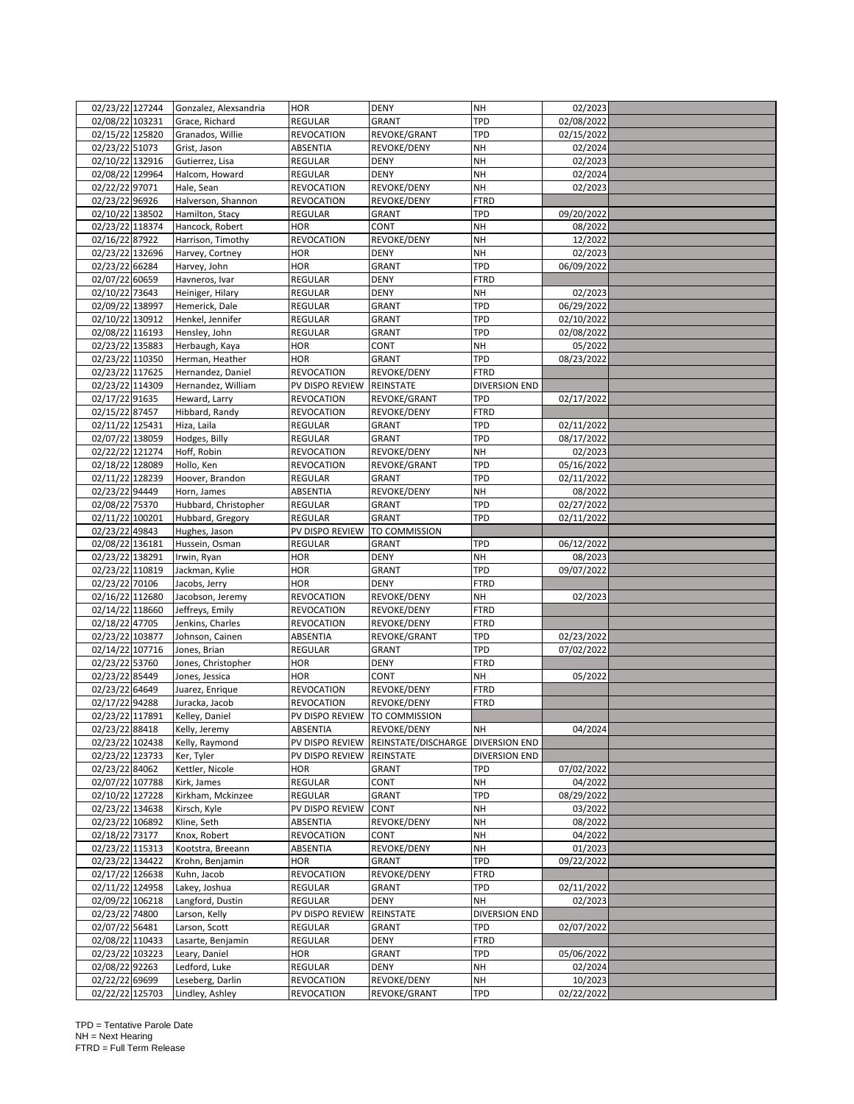| 02/23/22 127244                    | Gonzalez, Alexsandria              | <b>HOR</b>         | <b>DENY</b>                                                      | NΗ                   | 02/2023                  |  |
|------------------------------------|------------------------------------|--------------------|------------------------------------------------------------------|----------------------|--------------------------|--|
| 02/08/22 103231                    | Grace, Richard                     | REGULAR            | <b>GRANT</b>                                                     | TPD                  | 02/08/2022               |  |
| 02/15/22 125820                    | Granados, Willie                   | REVOCATION         | REVOKE/GRANT                                                     | TPD                  | 02/15/2022               |  |
| 02/23/22 51073                     | Grist, Jason                       | ABSENTIA           | REVOKE/DENY                                                      | NΗ                   | 02/2024                  |  |
| 02/10/22 132916                    | Gutierrez, Lisa                    | REGULAR            | <b>DENY</b>                                                      | NΗ                   | 02/2023                  |  |
| 02/08/22 129964                    | Halcom, Howard                     | REGULAR            | <b>DENY</b>                                                      | <b>NH</b>            | 02/2024                  |  |
| 02/22/22 97071                     | Hale, Sean                         | REVOCATION         | <b>REVOKE/DENY</b>                                               | NΗ                   | 02/2023                  |  |
| 02/23/22 96926                     | Halverson, Shannon                 | REVOCATION         | REVOKE/DENY                                                      | <b>FTRD</b>          |                          |  |
| 02/10/22 138502                    | Hamilton, Stacy                    | REGULAR            | GRANT                                                            | TPD                  | 09/20/2022               |  |
| 02/23/22 118374                    | Hancock, Robert                    | HOR                | CONT                                                             | NΗ                   | 08/2022                  |  |
| 02/16/22 87922                     | Harrison, Timothy                  | REVOCATION         | REVOKE/DENY                                                      | <b>NH</b>            | 12/2022                  |  |
| 02/23/22 132696                    | Harvey, Cortney                    | HOR                | <b>DENY</b>                                                      | <b>NH</b>            | 02/2023                  |  |
| 02/23/22 66284                     | Harvey, John                       | HOR                | <b>GRANT</b>                                                     | TPD                  | 06/09/2022               |  |
| 02/07/22 60659                     | Havneros, Ivar                     | REGULAR            | DENY                                                             | <b>FTRD</b>          |                          |  |
| 02/10/22 73643<br>02/09/22 138997  | Heiniger, Hilary<br>Hemerick, Dale | REGULAR<br>REGULAR | <b>DENY</b><br><b>GRANT</b>                                      | NΗ<br>TPD            | 02/2023<br>06/29/2022    |  |
|                                    |                                    |                    |                                                                  |                      |                          |  |
| 02/10/22 130912<br>02/08/22 116193 | Henkel, Jennifer<br>Hensley, John  | REGULAR<br>REGULAR | GRANT<br><b>GRANT</b>                                            | TPD<br>TPD           | 02/10/2022<br>02/08/2022 |  |
| 02/23/22 135883                    | Herbaugh, Kaya                     | HOR                | CONT                                                             | <b>NH</b>            | 05/2022                  |  |
| 02/23/22 110350                    | Herman, Heather                    | HOR                | GRANT                                                            | TPD                  | 08/23/2022               |  |
| 02/23/22 117625                    | Hernandez, Daniel                  | REVOCATION         | REVOKE/DENY                                                      | <b>FTRD</b>          |                          |  |
| 02/23/22 114309                    | Hernandez, William                 | PV DISPO REVIEW    | <b>REINSTATE</b>                                                 | <b>DIVERSION END</b> |                          |  |
| 02/17/22 91635                     | Heward, Larry                      | REVOCATION         | REVOKE/GRANT                                                     | TPD                  | 02/17/2022               |  |
| 02/15/22 87457                     | Hibbard, Randy                     | <b>REVOCATION</b>  | REVOKE/DENY                                                      | FTRD                 |                          |  |
| 02/11/22 125431                    | Hiza, Laila                        | REGULAR            | <b>GRANT</b>                                                     | TPD                  | 02/11/2022               |  |
| 02/07/22 138059                    | Hodges, Billy                      | REGULAR            | GRANT                                                            | TPD                  | 08/17/2022               |  |
| 02/22/22 121274                    | Hoff, Robin                        | REVOCATION         | REVOKE/DENY                                                      | NΗ                   | 02/2023                  |  |
| 02/18/22 128089                    | Hollo, Ken                         | REVOCATION         | REVOKE/GRANT                                                     | TPD                  | 05/16/2022               |  |
| 02/11/22 128239                    | Hoover, Brandon                    | REGULAR            | GRANT                                                            | TPD                  | 02/11/2022               |  |
| 02/23/22 94449                     | Horn, James                        | ABSENTIA           | REVOKE/DENY                                                      | <b>NH</b>            | 08/2022                  |  |
| 02/08/22 75370                     | Hubbard, Christopher               | REGULAR            | GRANT                                                            | TPD                  | 02/27/2022               |  |
| 02/11/22 100201                    | Hubbard, Gregory                   | REGULAR            | GRANT                                                            | TPD                  | 02/11/2022               |  |
| 02/23/22 49843                     | Hughes, Jason                      | PV DISPO REVIEW    | TO COMMISSION                                                    |                      |                          |  |
| 02/08/22 136181                    | Hussein, Osman                     | REGULAR            | <b>GRANT</b>                                                     | <b>TPD</b>           | 06/12/2022               |  |
| 02/23/22 138291                    | Irwin, Ryan                        | HOR                | <b>DENY</b>                                                      | <b>NH</b>            | 08/2023                  |  |
| 02/23/22 110819                    | Jackman, Kylie                     | HOR                | <b>GRANT</b>                                                     | TPD                  | 09/07/2022               |  |
| 02/23/22 70106                     | Jacobs, Jerry                      | HOR                | <b>DENY</b>                                                      | <b>FTRD</b>          |                          |  |
| 02/16/22 112680                    | Jacobson, Jeremy                   | <b>REVOCATION</b>  | REVOKE/DENY                                                      | NH                   | 02/2023                  |  |
| 02/14/22 118660                    | Jeffreys, Emily                    | REVOCATION         | REVOKE/DENY                                                      | <b>FTRD</b>          |                          |  |
| 02/18/22 47705                     | Jenkins, Charles                   | <b>REVOCATION</b>  | REVOKE/DENY                                                      | FTRD                 |                          |  |
| 02/23/22 103877                    | Johnson, Cainen                    | ABSENTIA           | REVOKE/GRANT                                                     | TPD                  | 02/23/2022               |  |
| 02/14/22 107716                    | Jones, Brian                       | REGULAR            | <b>GRANT</b>                                                     | TPD                  | 07/02/2022               |  |
| 02/23/22 53760                     | Jones, Christopher                 | HOR                | <b>DENY</b>                                                      | FTRD                 |                          |  |
| 02/23/22 85449                     | Jones, Jessica                     | HOR                | <b>CONT</b>                                                      | NΗ                   | 05/2022                  |  |
| 02/23/22 64649                     | Juarez, Enrique                    | REVOCATION         | REVOKE/DENY                                                      | <b>FTRD</b>          |                          |  |
| 02/17/22 94288                     | Juracka, Jacob                     | REVOCATION         | REVOKE/DENY                                                      | FTRD                 |                          |  |
| 02/23/22 117891                    | Kelley, Daniel                     | PV DISPO REVIEW    | <b>TO COMMISSION</b>                                             |                      |                          |  |
| 02/23/22 88418                     | Kelly, Jeremy                      | ABSENTIA           | REVOKE/DENY<br>PV DISPO REVIEW REINSTATE/DISCHARGE DIVERSION END | NH                   | 04/2024                  |  |
| 02/23/22 102438<br>02/23/22 123733 | Kelly, Raymond<br>Ker, Tyler       | PV DISPO REVIEW    | REINSTATE                                                        | <b>DIVERSION END</b> |                          |  |
| 02/23/22 84062                     | Kettler, Nicole                    | HOR                | GRANT                                                            | <b>TPD</b>           | 07/02/2022               |  |
| 02/07/22 107788                    | Kirk, James                        | REGULAR            | CONT                                                             | NΗ                   | 04/2022                  |  |
| 02/10/22 127228                    | Kirkham, Mckinzee                  | REGULAR            | <b>GRANT</b>                                                     | <b>TPD</b>           | 08/29/2022               |  |
| 02/23/22 134638                    | Kirsch, Kyle                       | PV DISPO REVIEW    | <b>CONT</b>                                                      | NH                   | 03/2022                  |  |
| 02/23/22 106892                    | Kline, Seth                        | ABSENTIA           | REVOKE/DENY                                                      | NΗ                   | 08/2022                  |  |
| 02/18/22 73177                     | Knox, Robert                       | <b>REVOCATION</b>  | <b>CONT</b>                                                      | NΗ                   | 04/2022                  |  |
| 02/23/22 115313                    | Kootstra, Breeann                  | ABSENTIA           | REVOKE/DENY                                                      | NΗ                   | 01/2023                  |  |
| 02/23/22 134422                    | Krohn, Benjamin                    | HOR                | GRANT                                                            | TPD                  | 09/22/2022               |  |
| 02/17/22 126638                    | Kuhn, Jacob                        | REVOCATION         | REVOKE/DENY                                                      | FTRD                 |                          |  |
| 02/11/22 124958                    | Lakey, Joshua                      | REGULAR            | GRANT                                                            | TPD                  | 02/11/2022               |  |
| 02/09/22 106218                    | Langford, Dustin                   | REGULAR            | DENY                                                             | NH                   | 02/2023                  |  |
| 02/23/22 74800                     | Larson, Kelly                      | PV DISPO REVIEW    | REINSTATE                                                        | DIVERSION END        |                          |  |
| 02/07/22 56481                     | Larson, Scott                      | REGULAR            | <b>GRANT</b>                                                     | TPD                  | 02/07/2022               |  |
| 02/08/22 110433                    | Lasarte, Benjamin                  | REGULAR            | DENY                                                             | <b>FTRD</b>          |                          |  |
| 02/23/22 103223                    | Leary, Daniel                      | HOR                | GRANT                                                            | TPD                  | 05/06/2022               |  |
| 02/08/22 92263                     | Ledford, Luke                      | REGULAR            | <b>DENY</b>                                                      | NH                   | 02/2024                  |  |
| 02/22/22 69699                     | Leseberg, Darlin                   | REVOCATION         | REVOKE/DENY                                                      | NΗ                   | 10/2023                  |  |
| 02/22/22 125703                    | Lindley, Ashley                    | <b>REVOCATION</b>  | REVOKE/GRANT                                                     | TPD                  | 02/22/2022               |  |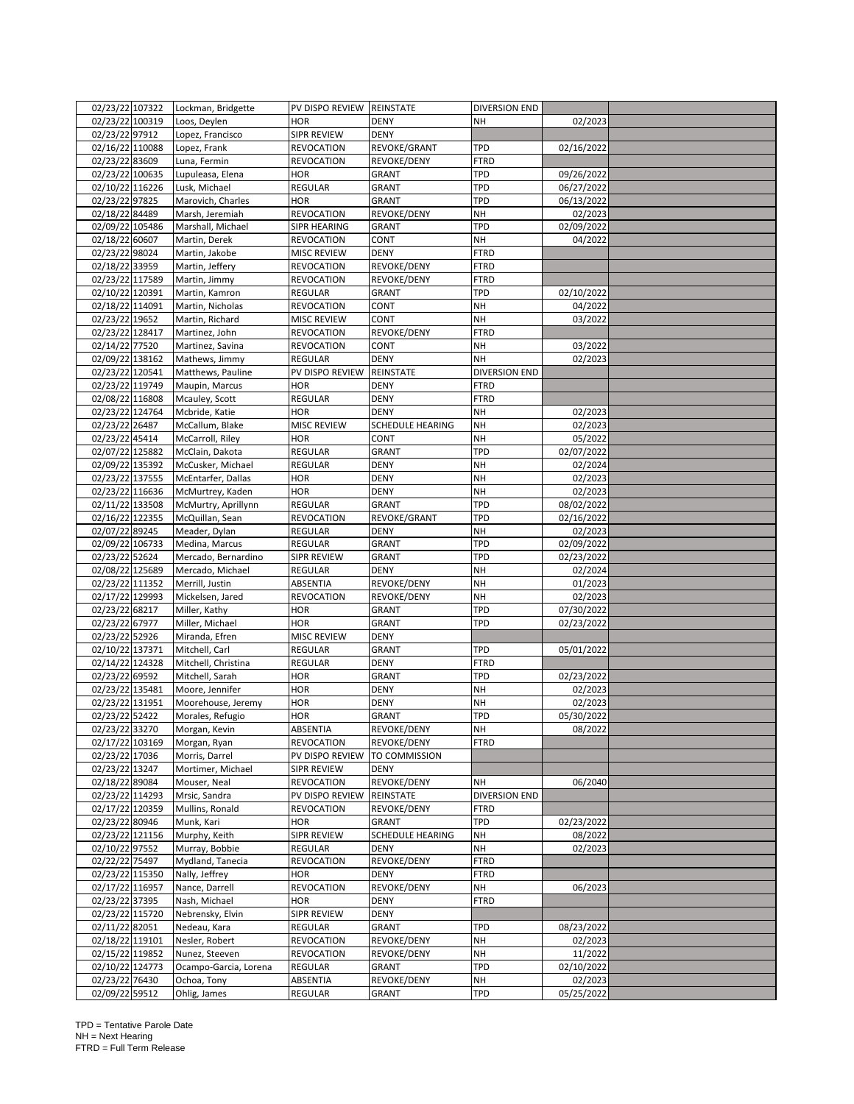| 02/23/22 107322                    | Lockman, Bridgette                     | PV DISPO REVIEW REINSTATE    |                      | <b>DIVERSION END</b> |                       |  |
|------------------------------------|----------------------------------------|------------------------------|----------------------|----------------------|-----------------------|--|
| 02/23/22 100319                    | Loos, Deylen                           | HOR                          | <b>DENY</b>          | NΗ                   | 02/2023               |  |
| 02/23/22 97912                     | Lopez, Francisco                       | SIPR REVIEW                  | <b>DENY</b>          |                      |                       |  |
| 02/16/22 110088                    | Lopez, Frank                           | <b>REVOCATION</b>            | REVOKE/GRANT         | TPD                  | 02/16/2022            |  |
| 02/23/22 83609                     | Luna, Fermin                           | <b>REVOCATION</b>            | REVOKE/DENY          | FTRD                 |                       |  |
| 02/23/22 100635                    | Lupuleasa, Elena                       | HOR                          | <b>GRANT</b>         | TPD                  | 09/26/2022            |  |
| 02/10/22 116226                    | Lusk, Michael                          | REGULAR                      | GRANT                | TPD                  | 06/27/2022            |  |
| 02/23/22 97825                     | Marovich, Charles                      | HOR                          | GRANT                | TPD                  | 06/13/2022            |  |
| 02/18/22 84489                     | Marsh, Jeremiah                        | <b>REVOCATION</b>            | REVOKE/DENY          | NΗ                   | 02/2023               |  |
| 02/09/22 105486                    | Marshall, Michael                      | SIPR HEARING                 | <b>GRANT</b>         | TPD                  | 02/09/2022            |  |
| 02/18/22 60607                     | Martin, Derek                          | <b>REVOCATION</b>            | CONT                 | NH                   | 04/2022               |  |
| 02/23/22 98024                     | Martin, Jakobe                         | <b>MISC REVIEW</b>           | <b>DENY</b>          | FTRD                 |                       |  |
| 02/18/22 33959                     | Martin, Jeffery                        | REVOCATION                   | REVOKE/DENY          | FTRD                 |                       |  |
| 02/23/22 117589<br>02/10/22 120391 | Martin, Jimmy                          | <b>REVOCATION</b><br>REGULAR | REVOKE/DENY          | FTRD<br>TPD          |                       |  |
| 02/18/22 114091                    | Martin, Kamron<br>Martin, Nicholas     | <b>REVOCATION</b>            | <b>GRANT</b><br>CONT | NH                   | 02/10/2022<br>04/2022 |  |
| 02/23/22 19652                     | Martin, Richard                        | MISC REVIEW                  | <b>CONT</b>          | NΗ                   | 03/2022               |  |
| 02/23/22 128417                    | Martinez, John                         | <b>REVOCATION</b>            | REVOKE/DENY          | <b>FTRD</b>          |                       |  |
| 02/14/22 77520                     | Martinez, Savina                       | <b>REVOCATION</b>            | CONT                 | NH                   | 03/2022               |  |
| 02/09/22 138162                    | Mathews, Jimmy                         | REGULAR                      | <b>DENY</b>          | NΗ                   | 02/2023               |  |
| 02/23/22 120541                    | Matthews, Pauline                      | PV DISPO REVIEW              | REINSTATE            | DIVERSION END        |                       |  |
| 02/23/22 119749                    | Maupin, Marcus                         | HOR                          | <b>DENY</b>          | FTRD                 |                       |  |
| 02/08/22 116808                    | Mcauley, Scott                         | REGULAR                      | <b>DENY</b>          | <b>FTRD</b>          |                       |  |
| 02/23/22 124764                    | Mcbride, Katie                         | HOR                          | <b>DENY</b>          | NH                   | 02/2023               |  |
| 02/23/22 26487                     | McCallum, Blake                        | MISC REVIEW                  | SCHEDULE HEARING     | NΗ                   | 02/2023               |  |
| 02/23/22 45414                     | McCarroll, Riley                       | HOR                          | CONT                 | NΗ                   | 05/2022               |  |
| 02/07/22 125882                    | McClain, Dakota                        | REGULAR                      | <b>GRANT</b>         | TPD                  | 02/07/2022            |  |
| 02/09/22 135392                    | McCusker, Michael                      | REGULAR                      | <b>DENY</b>          | NH                   | 02/2024               |  |
| 02/23/22 137555                    | McEntarfer, Dallas                     | HOR                          | <b>DENY</b>          | NΗ                   | 02/2023               |  |
| 02/23/22 116636                    | McMurtrey, Kaden                       | <b>HOR</b>                   | <b>DENY</b>          | <b>NH</b>            | 02/2023               |  |
| 02/11/22 133508                    | McMurtry, Aprillynn                    | REGULAR                      | <b>GRANT</b>         | TPD                  | 08/02/2022            |  |
| 02/16/22 122355                    | McQuillan, Sean                        | REVOCATION                   | REVOKE/GRANT         | TPD                  | 02/16/2022            |  |
| 02/07/22 89245                     | Meader, Dylan                          | REGULAR                      | <b>DENY</b>          | NΗ                   | 02/2023               |  |
| 02/09/22 106733                    | Medina, Marcus                         | REGULAR                      | <b>GRANT</b>         | TPD                  | 02/09/2022            |  |
| 02/23/22 52624                     | Mercado, Bernardino                    | SIPR REVIEW                  | <b>GRANT</b>         | TPD                  | 02/23/2022            |  |
| 02/08/22 125689                    | Mercado, Michael                       | <b>REGULAR</b>               | <b>DENY</b>          | NΗ                   | 02/2024               |  |
| 02/23/22 111352                    | Merrill, Justin                        | ABSENTIA                     | REVOKE/DENY          | NΗ                   | 01/2023               |  |
| 02/17/22 129993                    | Mickelsen, Jared                       | REVOCATION                   | REVOKE/DENY          | NΗ                   | 02/2023               |  |
| 02/23/22 68217                     | Miller, Kathy                          | HOR                          | GRANT                | TPD                  | 07/30/2022            |  |
| 02/23/22 67977                     | Miller, Michael                        | HOR                          | <b>GRANT</b>         | TPD                  | 02/23/2022            |  |
| 02/23/22 52926                     | Miranda, Efren                         | MISC REVIEW                  | <b>DENY</b>          |                      |                       |  |
| 02/10/22 137371                    | Mitchell, Carl                         | REGULAR                      | <b>GRANT</b>         | TPD                  | 05/01/2022            |  |
| 02/14/22 124328<br>02/23/22 69592  | Mitchell, Christina                    | REGULAR                      | <b>DENY</b>          | <b>FTRD</b>          |                       |  |
|                                    | Mitchell, Sarah                        | <b>HOR</b>                   | <b>GRANT</b>         | TPD                  | 02/23/2022            |  |
| 02/23/22 135481                    | Moore, Jennifer                        | HOR<br>HOR                   | <b>DENY</b><br>DENY  | NΗ<br>NΗ             | 02/2023<br>02/2023    |  |
| 02/23/22 131951<br>02/23/22 52422  | Moorehouse, Jeremy<br>Morales, Refugio | HOR                          | <b>GRANT</b>         | TPD                  | 05/30/2022            |  |
| 02/23/22 33270                     | Morgan, Kevin                          | ABSENTIA                     | REVOKE/DENY          | <b>NH</b>            | 08/2022               |  |
| 02/17/22 103169                    | Morgan, Ryan                           | <b>REVOCATION</b>            | REVOKE/DENY          | <b>FTRD</b>          |                       |  |
| 02/23/22 17036                     | Morris, Darrel                         | PV DISPO REVIEW              | <b>TO COMMISSION</b> |                      |                       |  |
| 02/23/22 13247                     | Mortimer, Michael                      | SIPR REVIEW                  | <b>DENY</b>          |                      |                       |  |
| 02/18/22 89084                     | Mouser, Neal                           | REVOCATION                   | REVOKE/DENY          | NΗ                   | 06/2040               |  |
| 02/23/22 114293                    | Mrsic, Sandra                          | PV DISPO REVIEW              | REINSTATE            | DIVERSION END        |                       |  |
| 02/17/22 120359                    | Mullins, Ronald                        | REVOCATION                   | REVOKE/DENY          | FTRD                 |                       |  |
| 02/23/22 80946                     | Munk, Kari                             | HOR                          | GRANT                | TPD                  | 02/23/2022            |  |
| 02/23/22 121156                    | Murphy, Keith                          | SIPR REVIEW                  | SCHEDULE HEARING     | NΗ                   | 08/2022               |  |
| 02/10/22 97552                     | Murray, Bobbie                         | REGULAR                      | <b>DENY</b>          | NH                   | 02/2023               |  |
| 02/22/22 75497                     | Mydland, Tanecia                       | REVOCATION                   | REVOKE/DENY          | FTRD                 |                       |  |
| 02/23/22 115350                    | Nally, Jeffrey                         | HOR                          | <b>DENY</b>          | FTRD                 |                       |  |
| 02/17/22 116957                    | Nance, Darrell                         | REVOCATION                   | REVOKE/DENY          | NH                   | 06/2023               |  |
| 02/23/22 37395                     | Nash, Michael                          | HOR                          | <b>DENY</b>          | <b>FTRD</b>          |                       |  |
| 02/23/22 115720                    | Nebrensky, Elvin                       | SIPR REVIEW                  | <b>DENY</b>          |                      |                       |  |
| 02/11/22 82051                     | Nedeau, Kara                           | REGULAR                      | GRANT                | TPD                  | 08/23/2022            |  |
| 02/18/22 119101                    | Nesler, Robert                         | <b>REVOCATION</b>            | REVOKE/DENY          | NΗ                   | 02/2023               |  |
| 02/15/22 119852                    | Nunez, Steeven                         | REVOCATION                   | REVOKE/DENY          | NΗ                   | 11/2022               |  |
| 02/10/22 124773                    | Ocampo-Garcia, Lorena                  | REGULAR                      | GRANT                | TPD                  | 02/10/2022            |  |
| 02/23/22 76430                     | Ochoa, Tony                            | ABSENTIA                     | REVOKE/DENY          | NΗ                   | 02/2023               |  |
| 02/09/22 59512                     | Ohlig, James                           | REGULAR                      | GRANT                | <b>TPD</b>           | 05/25/2022            |  |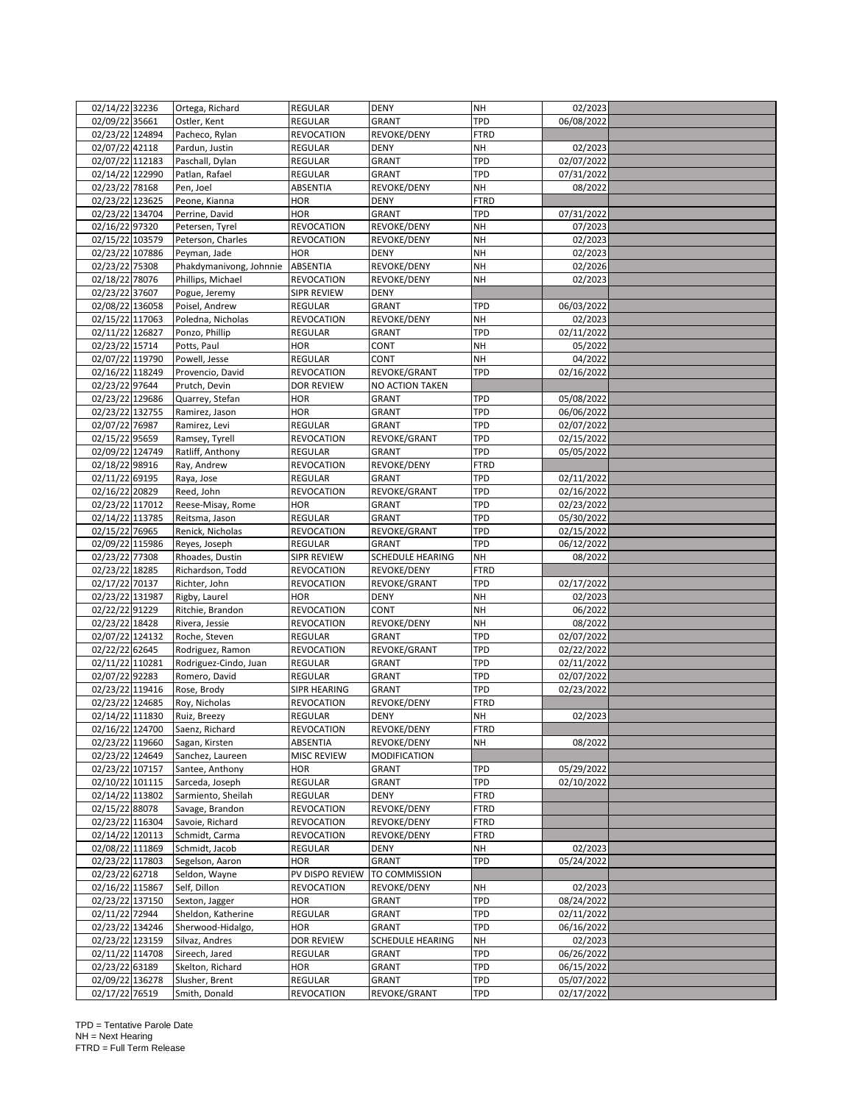| 02/09/22 35661<br>Ostler, Kent<br>REGULAR<br><b>GRANT</b><br>TPD<br>06/08/2022<br>02/23/22 124894<br>Pacheco, Rylan<br><b>REVOCATION</b><br>REVOKE/DENY<br>FTRD<br>02/07/22 42118<br>NΗ<br>02/2023<br>Pardun, Justin<br>REGULAR<br><b>DENY</b><br>TPD<br>02/07/22 112183<br>Paschall, Dylan<br>REGULAR<br>GRANT<br>02/07/2022<br>02/14/22 122990<br>TPD<br>Patlan, Rafael<br>REGULAR<br>GRANT<br>07/31/2022<br><b>NH</b><br>02/23/22 78168<br>08/2022<br>Pen, Joel<br>ABSENTIA<br>REVOKE/DENY<br>02/23/22 123625<br>HOR<br><b>FTRD</b><br>Peone, Kianna<br><b>DENY</b><br>02/23/22 134704<br><b>HOR</b><br><b>GRANT</b><br>TPD<br>Perrine, David<br>07/31/2022<br>02/16/22 97320<br><b>REVOCATION</b><br>REVOKE/DENY<br><b>NH</b><br>Petersen, Tyrel<br>07/2023<br>02/15/22 103579<br><b>NH</b><br>Peterson, Charles<br><b>REVOCATION</b><br>REVOKE/DENY<br>02/2023<br>02/23/22 107886<br><b>NH</b><br>Peyman, Jade<br><b>HOR</b><br><b>DENY</b><br>02/2023<br>02/23/22 75308<br><b>NH</b><br>Phakdymanivong, Johnnie<br>ABSENTIA<br>REVOKE/DENY<br>02/2026<br>02/18/22 78076<br>Phillips, Michael<br><b>REVOCATION</b><br>REVOKE/DENY<br>NΗ<br>02/2023<br>02/23/22 37607<br>SIPR REVIEW<br>Pogue, Jeremy<br><b>DENY</b><br>02/08/22 136058<br><b>GRANT</b><br>TPD<br><b>REGULAR</b><br>06/03/2022<br>Poisel, Andrew<br>02/15/22 117063<br><b>NH</b><br>REVOKE/DENY<br>02/2023<br>Poledna, Nicholas<br><b>REVOCATION</b><br>02/11/22 126827<br>TPD<br>02/11/2022<br>Ponzo, Phillip<br>REGULAR<br><b>GRANT</b><br>02/23/22 15714<br>Potts, Paul<br><b>NH</b><br><b>HOR</b><br>CONT<br>05/2022<br>02/07/22 119790<br>REGULAR<br>CONT<br><b>NH</b><br>04/2022<br>Powell, Jesse<br>02/16/22 118249<br>TPD<br>Provencio, David<br><b>REVOCATION</b><br>REVOKE/GRANT<br>02/16/2022<br>02/23/22 97644<br><b>DOR REVIEW</b><br>NO ACTION TAKEN<br>Prutch, Devin<br>02/23/22 129686<br>TPD<br>Quarrey, Stefan<br><b>HOR</b><br><b>GRANT</b><br>05/08/2022<br>TPD<br>02/23/22 132755<br>Ramirez, Jason<br><b>HOR</b><br><b>GRANT</b><br>06/06/2022<br>TPD<br>02/07/22 76987<br><b>REGULAR</b><br><b>GRANT</b><br>02/07/2022<br>Ramirez, Levi<br>02/15/22 95659<br>TPD<br>02/15/2022<br>Ramsey, Tyrell<br><b>REVOCATION</b><br>REVOKE/GRANT<br>02/09/22 124749<br>Ratliff, Anthony<br>TPD<br>05/05/2022<br><b>REGULAR</b><br><b>GRANT</b><br>02/18/22 98916<br>REVOKE/DENY<br><b>FTRD</b><br>Ray, Andrew<br><b>REVOCATION</b><br>02/11/22 69195<br><b>GRANT</b><br>TPD<br>Raya, Jose<br>REGULAR<br>02/11/2022<br>02/16/22 20829<br>TPD<br><b>REVOCATION</b><br>REVOKE/GRANT<br>02/16/2022<br>Reed, John<br>02/23/22 117012<br>TPD<br>02/23/2022<br>Reese-Misay, Rome<br><b>HOR</b><br>GRANT<br>02/14/22 113785<br><b>GRANT</b><br>TPD<br><b>REGULAR</b><br>05/30/2022<br>Reitsma, Jason<br>02/15/22 76965<br>TPD<br>Renick, Nicholas<br><b>REVOCATION</b><br>REVOKE/GRANT<br>02/15/2022<br>02/09/22 115986<br>TPD<br>Reyes, Joseph<br>REGULAR<br><b>GRANT</b><br>06/12/2022<br>02/23/22 77308<br><b>SCHEDULE HEARING</b><br><b>NH</b><br><b>SIPR REVIEW</b><br>08/2022<br>Rhoades, Dustin<br>02/23/22 18285<br>Richardson, Todd<br>FTRD<br><b>REVOCATION</b><br><b>REVOKE/DENY</b><br>02/17/22 70137<br>TPD<br>Richter, John<br><b>REVOCATION</b><br>REVOKE/GRANT<br>02/17/2022<br>02/23/22 131987<br><b>NH</b><br>Rigby, Laurel<br><b>HOR</b><br><b>DENY</b><br>02/2023<br>02/22/22 91229<br><b>NH</b><br>Ritchie, Brandon<br><b>REVOCATION</b><br>CONT<br>06/2022<br>02/23/22 18428<br><b>NH</b><br>08/2022<br>Rivera, Jessie<br><b>REVOCATION</b><br>REVOKE/DENY<br>02/07/22 124132<br><b>GRANT</b><br>TPD<br>02/07/2022<br>Roche, Steven<br>REGULAR<br>02/22/22 62645<br>TPD<br><b>REVOCATION</b><br>REVOKE/GRANT<br>02/22/2022<br>Rodriguez, Ramon<br>02/11/22 110281<br>Rodriguez-Cindo, Juan<br>TPD<br>REGULAR<br><b>GRANT</b><br>02/11/2022<br>02/07/22 92283<br>TPD<br>Romero, David<br><b>REGULAR</b><br><b>GRANT</b><br>02/07/2022<br>02/23/22 119416<br>TPD<br>Rose, Brody<br>SIPR HEARING<br><b>GRANT</b><br>02/23/2022<br>02/23/22 124685<br>Roy, Nicholas<br><b>REVOCATION</b><br>REVOKE/DENY<br>FTRD<br>02/14/22 111830<br><b>REGULAR</b><br><b>DENY</b><br><b>NH</b><br>02/2023<br>Ruiz, Breezy<br>02/16/22 124700<br>Saenz, Richard<br>REVOCATION<br>REVOKE/DENY<br>FTRD<br>02/23/22 119660<br>REVOKE/DENY<br><b>NH</b><br>08/2022<br>Sagan, Kirsten<br>ABSENTIA<br>02/23/22 124649<br>MISC REVIEW<br><b>MODIFICATION</b><br>Sanchez, Laureen<br>02/23/22 107157<br><b>HOR</b><br><b>GRANT</b><br>TPD<br>05/29/2022<br>Santee, Anthony<br>02/10/22 101115<br>TPD<br>Sarceda, Joseph<br>REGULAR<br>GRANT<br>02/10/2022<br>02/14/22 113802<br>Sarmiento, Sheilah<br>REGULAR<br><b>DENY</b><br>FTRD<br>02/15/22 88078<br><b>REVOCATION</b><br>REVOKE/DENY<br><b>FTRD</b><br>Savage, Brandon<br>02/23/22 116304<br>Savoie, Richard<br><b>REVOCATION</b><br>REVOKE/DENY<br>FTRD<br>02/14/22 120113<br>Schmidt, Carma<br><b>REVOCATION</b><br>REVOKE/DENY<br>FTRD<br>02/08/22 111869<br>Schmidt, Jacob<br>NH<br>02/2023<br>REGULAR<br><b>DENY</b><br>02/23/22 117803<br>Segelson, Aaron<br>HOR<br><b>GRANT</b><br>TPD<br>05/24/2022<br>02/23/22 62718<br>PV DISPO REVIEW<br>Seldon, Wayne<br>TO COMMISSION<br>02/16/22 115867<br>Self, Dillon<br>REVOKE/DENY<br><b>REVOCATION</b><br>NΗ<br>02/2023<br>TPD<br>02/23/22 137150<br>Sexton, Jagger<br><b>HOR</b><br>08/24/2022<br>GRANT<br>TPD<br>02/11/22 72944<br>Sheldon, Katherine<br>REGULAR<br>GRANT<br>02/11/2022<br>02/23/22 134246<br>TPD<br>Sherwood-Hidalgo,<br><b>HOR</b><br><b>GRANT</b><br>06/16/2022<br>02/23/22 123159<br>Silvaz, Andres<br>DOR REVIEW<br><b>SCHEDULE HEARING</b><br>NΗ<br>02/2023<br>02/11/22 114708<br>Sireech, Jared<br>REGULAR<br>TPD<br>06/26/2022<br>GRANT<br>02/23/22 63189<br>TPD<br>06/15/2022<br>Skelton, Richard<br><b>HOR</b><br>GRANT<br>TPD<br>02/09/22 136278<br>Slusher, Brent<br>REGULAR<br><b>GRANT</b><br>05/07/2022<br>02/17/22 76519<br>Smith, Donald<br><b>REVOCATION</b><br>REVOKE/GRANT<br>TPD<br>02/17/2022 | 02/14/22 32236 | Ortega, Richard | REGULAR | <b>DENY</b> | <b>NH</b> | 02/2023 |  |
|-------------------------------------------------------------------------------------------------------------------------------------------------------------------------------------------------------------------------------------------------------------------------------------------------------------------------------------------------------------------------------------------------------------------------------------------------------------------------------------------------------------------------------------------------------------------------------------------------------------------------------------------------------------------------------------------------------------------------------------------------------------------------------------------------------------------------------------------------------------------------------------------------------------------------------------------------------------------------------------------------------------------------------------------------------------------------------------------------------------------------------------------------------------------------------------------------------------------------------------------------------------------------------------------------------------------------------------------------------------------------------------------------------------------------------------------------------------------------------------------------------------------------------------------------------------------------------------------------------------------------------------------------------------------------------------------------------------------------------------------------------------------------------------------------------------------------------------------------------------------------------------------------------------------------------------------------------------------------------------------------------------------------------------------------------------------------------------------------------------------------------------------------------------------------------------------------------------------------------------------------------------------------------------------------------------------------------------------------------------------------------------------------------------------------------------------------------------------------------------------------------------------------------------------------------------------------------------------------------------------------------------------------------------------------------------------------------------------------------------------------------------------------------------------------------------------------------------------------------------------------------------------------------------------------------------------------------------------------------------------------------------------------------------------------------------------------------------------------------------------------------------------------------------------------------------------------------------------------------------------------------------------------------------------------------------------------------------------------------------------------------------------------------------------------------------------------------------------------------------------------------------------------------------------------------------------------------------------------------------------------------------------------------------------------------------------------------------------------------------------------------------------------------------------------------------------------------------------------------------------------------------------------------------------------------------------------------------------------------------------------------------------------------------------------------------------------------------------------------------------------------------------------------------------------------------------------------------------------------------------------------------------------------------------------------------------------------------------------------------------------------------------------------------------------------------------------------------------------------------------------------------------------------------------------------------------------------------------------------------------------------------------------------------------------------------------------------------------------------------------------------------------------------------------------------------------------------------------------------------------------------------------------------------------------------------------------------------------------------------------------------------------------------------------------------------------------------------------------------------------------------------------------------------------------------------------------------------------------------------------------------------------------------------------------------------------------------------------------------------------------------------------------------------------------------------------------------------------------------------------------------------------------------------------------------------------------------------------------------------------------------------------------------------------------------------------------------------------------------------------------------------------------------------------------------------------------------------------------------------------------------------------------------------------------------------------------------------------------------------------------------------------|----------------|-----------------|---------|-------------|-----------|---------|--|
|                                                                                                                                                                                                                                                                                                                                                                                                                                                                                                                                                                                                                                                                                                                                                                                                                                                                                                                                                                                                                                                                                                                                                                                                                                                                                                                                                                                                                                                                                                                                                                                                                                                                                                                                                                                                                                                                                                                                                                                                                                                                                                                                                                                                                                                                                                                                                                                                                                                                                                                                                                                                                                                                                                                                                                                                                                                                                                                                                                                                                                                                                                                                                                                                                                                                                                                                                                                                                                                                                                                                                                                                                                                                                                                                                                                                                                                                                                                                                                                                                                                                                                                                                                                                                                                                                                                                                                                                                                                                                                                                                                                                                                                                                                                                                                                                                                                                                                                                                                                                                                                                                                                                                                                                                                                                                                                                                                                                                                                                                                                                                                                                                                                                                                                                                                                                                                                                                                                                                                                                                   |                |                 |         |             |           |         |  |
|                                                                                                                                                                                                                                                                                                                                                                                                                                                                                                                                                                                                                                                                                                                                                                                                                                                                                                                                                                                                                                                                                                                                                                                                                                                                                                                                                                                                                                                                                                                                                                                                                                                                                                                                                                                                                                                                                                                                                                                                                                                                                                                                                                                                                                                                                                                                                                                                                                                                                                                                                                                                                                                                                                                                                                                                                                                                                                                                                                                                                                                                                                                                                                                                                                                                                                                                                                                                                                                                                                                                                                                                                                                                                                                                                                                                                                                                                                                                                                                                                                                                                                                                                                                                                                                                                                                                                                                                                                                                                                                                                                                                                                                                                                                                                                                                                                                                                                                                                                                                                                                                                                                                                                                                                                                                                                                                                                                                                                                                                                                                                                                                                                                                                                                                                                                                                                                                                                                                                                                                                   |                |                 |         |             |           |         |  |
|                                                                                                                                                                                                                                                                                                                                                                                                                                                                                                                                                                                                                                                                                                                                                                                                                                                                                                                                                                                                                                                                                                                                                                                                                                                                                                                                                                                                                                                                                                                                                                                                                                                                                                                                                                                                                                                                                                                                                                                                                                                                                                                                                                                                                                                                                                                                                                                                                                                                                                                                                                                                                                                                                                                                                                                                                                                                                                                                                                                                                                                                                                                                                                                                                                                                                                                                                                                                                                                                                                                                                                                                                                                                                                                                                                                                                                                                                                                                                                                                                                                                                                                                                                                                                                                                                                                                                                                                                                                                                                                                                                                                                                                                                                                                                                                                                                                                                                                                                                                                                                                                                                                                                                                                                                                                                                                                                                                                                                                                                                                                                                                                                                                                                                                                                                                                                                                                                                                                                                                                                   |                |                 |         |             |           |         |  |
|                                                                                                                                                                                                                                                                                                                                                                                                                                                                                                                                                                                                                                                                                                                                                                                                                                                                                                                                                                                                                                                                                                                                                                                                                                                                                                                                                                                                                                                                                                                                                                                                                                                                                                                                                                                                                                                                                                                                                                                                                                                                                                                                                                                                                                                                                                                                                                                                                                                                                                                                                                                                                                                                                                                                                                                                                                                                                                                                                                                                                                                                                                                                                                                                                                                                                                                                                                                                                                                                                                                                                                                                                                                                                                                                                                                                                                                                                                                                                                                                                                                                                                                                                                                                                                                                                                                                                                                                                                                                                                                                                                                                                                                                                                                                                                                                                                                                                                                                                                                                                                                                                                                                                                                                                                                                                                                                                                                                                                                                                                                                                                                                                                                                                                                                                                                                                                                                                                                                                                                                                   |                |                 |         |             |           |         |  |
|                                                                                                                                                                                                                                                                                                                                                                                                                                                                                                                                                                                                                                                                                                                                                                                                                                                                                                                                                                                                                                                                                                                                                                                                                                                                                                                                                                                                                                                                                                                                                                                                                                                                                                                                                                                                                                                                                                                                                                                                                                                                                                                                                                                                                                                                                                                                                                                                                                                                                                                                                                                                                                                                                                                                                                                                                                                                                                                                                                                                                                                                                                                                                                                                                                                                                                                                                                                                                                                                                                                                                                                                                                                                                                                                                                                                                                                                                                                                                                                                                                                                                                                                                                                                                                                                                                                                                                                                                                                                                                                                                                                                                                                                                                                                                                                                                                                                                                                                                                                                                                                                                                                                                                                                                                                                                                                                                                                                                                                                                                                                                                                                                                                                                                                                                                                                                                                                                                                                                                                                                   |                |                 |         |             |           |         |  |
|                                                                                                                                                                                                                                                                                                                                                                                                                                                                                                                                                                                                                                                                                                                                                                                                                                                                                                                                                                                                                                                                                                                                                                                                                                                                                                                                                                                                                                                                                                                                                                                                                                                                                                                                                                                                                                                                                                                                                                                                                                                                                                                                                                                                                                                                                                                                                                                                                                                                                                                                                                                                                                                                                                                                                                                                                                                                                                                                                                                                                                                                                                                                                                                                                                                                                                                                                                                                                                                                                                                                                                                                                                                                                                                                                                                                                                                                                                                                                                                                                                                                                                                                                                                                                                                                                                                                                                                                                                                                                                                                                                                                                                                                                                                                                                                                                                                                                                                                                                                                                                                                                                                                                                                                                                                                                                                                                                                                                                                                                                                                                                                                                                                                                                                                                                                                                                                                                                                                                                                                                   |                |                 |         |             |           |         |  |
|                                                                                                                                                                                                                                                                                                                                                                                                                                                                                                                                                                                                                                                                                                                                                                                                                                                                                                                                                                                                                                                                                                                                                                                                                                                                                                                                                                                                                                                                                                                                                                                                                                                                                                                                                                                                                                                                                                                                                                                                                                                                                                                                                                                                                                                                                                                                                                                                                                                                                                                                                                                                                                                                                                                                                                                                                                                                                                                                                                                                                                                                                                                                                                                                                                                                                                                                                                                                                                                                                                                                                                                                                                                                                                                                                                                                                                                                                                                                                                                                                                                                                                                                                                                                                                                                                                                                                                                                                                                                                                                                                                                                                                                                                                                                                                                                                                                                                                                                                                                                                                                                                                                                                                                                                                                                                                                                                                                                                                                                                                                                                                                                                                                                                                                                                                                                                                                                                                                                                                                                                   |                |                 |         |             |           |         |  |
|                                                                                                                                                                                                                                                                                                                                                                                                                                                                                                                                                                                                                                                                                                                                                                                                                                                                                                                                                                                                                                                                                                                                                                                                                                                                                                                                                                                                                                                                                                                                                                                                                                                                                                                                                                                                                                                                                                                                                                                                                                                                                                                                                                                                                                                                                                                                                                                                                                                                                                                                                                                                                                                                                                                                                                                                                                                                                                                                                                                                                                                                                                                                                                                                                                                                                                                                                                                                                                                                                                                                                                                                                                                                                                                                                                                                                                                                                                                                                                                                                                                                                                                                                                                                                                                                                                                                                                                                                                                                                                                                                                                                                                                                                                                                                                                                                                                                                                                                                                                                                                                                                                                                                                                                                                                                                                                                                                                                                                                                                                                                                                                                                                                                                                                                                                                                                                                                                                                                                                                                                   |                |                 |         |             |           |         |  |
|                                                                                                                                                                                                                                                                                                                                                                                                                                                                                                                                                                                                                                                                                                                                                                                                                                                                                                                                                                                                                                                                                                                                                                                                                                                                                                                                                                                                                                                                                                                                                                                                                                                                                                                                                                                                                                                                                                                                                                                                                                                                                                                                                                                                                                                                                                                                                                                                                                                                                                                                                                                                                                                                                                                                                                                                                                                                                                                                                                                                                                                                                                                                                                                                                                                                                                                                                                                                                                                                                                                                                                                                                                                                                                                                                                                                                                                                                                                                                                                                                                                                                                                                                                                                                                                                                                                                                                                                                                                                                                                                                                                                                                                                                                                                                                                                                                                                                                                                                                                                                                                                                                                                                                                                                                                                                                                                                                                                                                                                                                                                                                                                                                                                                                                                                                                                                                                                                                                                                                                                                   |                |                 |         |             |           |         |  |
|                                                                                                                                                                                                                                                                                                                                                                                                                                                                                                                                                                                                                                                                                                                                                                                                                                                                                                                                                                                                                                                                                                                                                                                                                                                                                                                                                                                                                                                                                                                                                                                                                                                                                                                                                                                                                                                                                                                                                                                                                                                                                                                                                                                                                                                                                                                                                                                                                                                                                                                                                                                                                                                                                                                                                                                                                                                                                                                                                                                                                                                                                                                                                                                                                                                                                                                                                                                                                                                                                                                                                                                                                                                                                                                                                                                                                                                                                                                                                                                                                                                                                                                                                                                                                                                                                                                                                                                                                                                                                                                                                                                                                                                                                                                                                                                                                                                                                                                                                                                                                                                                                                                                                                                                                                                                                                                                                                                                                                                                                                                                                                                                                                                                                                                                                                                                                                                                                                                                                                                                                   |                |                 |         |             |           |         |  |
|                                                                                                                                                                                                                                                                                                                                                                                                                                                                                                                                                                                                                                                                                                                                                                                                                                                                                                                                                                                                                                                                                                                                                                                                                                                                                                                                                                                                                                                                                                                                                                                                                                                                                                                                                                                                                                                                                                                                                                                                                                                                                                                                                                                                                                                                                                                                                                                                                                                                                                                                                                                                                                                                                                                                                                                                                                                                                                                                                                                                                                                                                                                                                                                                                                                                                                                                                                                                                                                                                                                                                                                                                                                                                                                                                                                                                                                                                                                                                                                                                                                                                                                                                                                                                                                                                                                                                                                                                                                                                                                                                                                                                                                                                                                                                                                                                                                                                                                                                                                                                                                                                                                                                                                                                                                                                                                                                                                                                                                                                                                                                                                                                                                                                                                                                                                                                                                                                                                                                                                                                   |                |                 |         |             |           |         |  |
|                                                                                                                                                                                                                                                                                                                                                                                                                                                                                                                                                                                                                                                                                                                                                                                                                                                                                                                                                                                                                                                                                                                                                                                                                                                                                                                                                                                                                                                                                                                                                                                                                                                                                                                                                                                                                                                                                                                                                                                                                                                                                                                                                                                                                                                                                                                                                                                                                                                                                                                                                                                                                                                                                                                                                                                                                                                                                                                                                                                                                                                                                                                                                                                                                                                                                                                                                                                                                                                                                                                                                                                                                                                                                                                                                                                                                                                                                                                                                                                                                                                                                                                                                                                                                                                                                                                                                                                                                                                                                                                                                                                                                                                                                                                                                                                                                                                                                                                                                                                                                                                                                                                                                                                                                                                                                                                                                                                                                                                                                                                                                                                                                                                                                                                                                                                                                                                                                                                                                                                                                   |                |                 |         |             |           |         |  |
|                                                                                                                                                                                                                                                                                                                                                                                                                                                                                                                                                                                                                                                                                                                                                                                                                                                                                                                                                                                                                                                                                                                                                                                                                                                                                                                                                                                                                                                                                                                                                                                                                                                                                                                                                                                                                                                                                                                                                                                                                                                                                                                                                                                                                                                                                                                                                                                                                                                                                                                                                                                                                                                                                                                                                                                                                                                                                                                                                                                                                                                                                                                                                                                                                                                                                                                                                                                                                                                                                                                                                                                                                                                                                                                                                                                                                                                                                                                                                                                                                                                                                                                                                                                                                                                                                                                                                                                                                                                                                                                                                                                                                                                                                                                                                                                                                                                                                                                                                                                                                                                                                                                                                                                                                                                                                                                                                                                                                                                                                                                                                                                                                                                                                                                                                                                                                                                                                                                                                                                                                   |                |                 |         |             |           |         |  |
|                                                                                                                                                                                                                                                                                                                                                                                                                                                                                                                                                                                                                                                                                                                                                                                                                                                                                                                                                                                                                                                                                                                                                                                                                                                                                                                                                                                                                                                                                                                                                                                                                                                                                                                                                                                                                                                                                                                                                                                                                                                                                                                                                                                                                                                                                                                                                                                                                                                                                                                                                                                                                                                                                                                                                                                                                                                                                                                                                                                                                                                                                                                                                                                                                                                                                                                                                                                                                                                                                                                                                                                                                                                                                                                                                                                                                                                                                                                                                                                                                                                                                                                                                                                                                                                                                                                                                                                                                                                                                                                                                                                                                                                                                                                                                                                                                                                                                                                                                                                                                                                                                                                                                                                                                                                                                                                                                                                                                                                                                                                                                                                                                                                                                                                                                                                                                                                                                                                                                                                                                   |                |                 |         |             |           |         |  |
|                                                                                                                                                                                                                                                                                                                                                                                                                                                                                                                                                                                                                                                                                                                                                                                                                                                                                                                                                                                                                                                                                                                                                                                                                                                                                                                                                                                                                                                                                                                                                                                                                                                                                                                                                                                                                                                                                                                                                                                                                                                                                                                                                                                                                                                                                                                                                                                                                                                                                                                                                                                                                                                                                                                                                                                                                                                                                                                                                                                                                                                                                                                                                                                                                                                                                                                                                                                                                                                                                                                                                                                                                                                                                                                                                                                                                                                                                                                                                                                                                                                                                                                                                                                                                                                                                                                                                                                                                                                                                                                                                                                                                                                                                                                                                                                                                                                                                                                                                                                                                                                                                                                                                                                                                                                                                                                                                                                                                                                                                                                                                                                                                                                                                                                                                                                                                                                                                                                                                                                                                   |                |                 |         |             |           |         |  |
|                                                                                                                                                                                                                                                                                                                                                                                                                                                                                                                                                                                                                                                                                                                                                                                                                                                                                                                                                                                                                                                                                                                                                                                                                                                                                                                                                                                                                                                                                                                                                                                                                                                                                                                                                                                                                                                                                                                                                                                                                                                                                                                                                                                                                                                                                                                                                                                                                                                                                                                                                                                                                                                                                                                                                                                                                                                                                                                                                                                                                                                                                                                                                                                                                                                                                                                                                                                                                                                                                                                                                                                                                                                                                                                                                                                                                                                                                                                                                                                                                                                                                                                                                                                                                                                                                                                                                                                                                                                                                                                                                                                                                                                                                                                                                                                                                                                                                                                                                                                                                                                                                                                                                                                                                                                                                                                                                                                                                                                                                                                                                                                                                                                                                                                                                                                                                                                                                                                                                                                                                   |                |                 |         |             |           |         |  |
|                                                                                                                                                                                                                                                                                                                                                                                                                                                                                                                                                                                                                                                                                                                                                                                                                                                                                                                                                                                                                                                                                                                                                                                                                                                                                                                                                                                                                                                                                                                                                                                                                                                                                                                                                                                                                                                                                                                                                                                                                                                                                                                                                                                                                                                                                                                                                                                                                                                                                                                                                                                                                                                                                                                                                                                                                                                                                                                                                                                                                                                                                                                                                                                                                                                                                                                                                                                                                                                                                                                                                                                                                                                                                                                                                                                                                                                                                                                                                                                                                                                                                                                                                                                                                                                                                                                                                                                                                                                                                                                                                                                                                                                                                                                                                                                                                                                                                                                                                                                                                                                                                                                                                                                                                                                                                                                                                                                                                                                                                                                                                                                                                                                                                                                                                                                                                                                                                                                                                                                                                   |                |                 |         |             |           |         |  |
|                                                                                                                                                                                                                                                                                                                                                                                                                                                                                                                                                                                                                                                                                                                                                                                                                                                                                                                                                                                                                                                                                                                                                                                                                                                                                                                                                                                                                                                                                                                                                                                                                                                                                                                                                                                                                                                                                                                                                                                                                                                                                                                                                                                                                                                                                                                                                                                                                                                                                                                                                                                                                                                                                                                                                                                                                                                                                                                                                                                                                                                                                                                                                                                                                                                                                                                                                                                                                                                                                                                                                                                                                                                                                                                                                                                                                                                                                                                                                                                                                                                                                                                                                                                                                                                                                                                                                                                                                                                                                                                                                                                                                                                                                                                                                                                                                                                                                                                                                                                                                                                                                                                                                                                                                                                                                                                                                                                                                                                                                                                                                                                                                                                                                                                                                                                                                                                                                                                                                                                                                   |                |                 |         |             |           |         |  |
|                                                                                                                                                                                                                                                                                                                                                                                                                                                                                                                                                                                                                                                                                                                                                                                                                                                                                                                                                                                                                                                                                                                                                                                                                                                                                                                                                                                                                                                                                                                                                                                                                                                                                                                                                                                                                                                                                                                                                                                                                                                                                                                                                                                                                                                                                                                                                                                                                                                                                                                                                                                                                                                                                                                                                                                                                                                                                                                                                                                                                                                                                                                                                                                                                                                                                                                                                                                                                                                                                                                                                                                                                                                                                                                                                                                                                                                                                                                                                                                                                                                                                                                                                                                                                                                                                                                                                                                                                                                                                                                                                                                                                                                                                                                                                                                                                                                                                                                                                                                                                                                                                                                                                                                                                                                                                                                                                                                                                                                                                                                                                                                                                                                                                                                                                                                                                                                                                                                                                                                                                   |                |                 |         |             |           |         |  |
|                                                                                                                                                                                                                                                                                                                                                                                                                                                                                                                                                                                                                                                                                                                                                                                                                                                                                                                                                                                                                                                                                                                                                                                                                                                                                                                                                                                                                                                                                                                                                                                                                                                                                                                                                                                                                                                                                                                                                                                                                                                                                                                                                                                                                                                                                                                                                                                                                                                                                                                                                                                                                                                                                                                                                                                                                                                                                                                                                                                                                                                                                                                                                                                                                                                                                                                                                                                                                                                                                                                                                                                                                                                                                                                                                                                                                                                                                                                                                                                                                                                                                                                                                                                                                                                                                                                                                                                                                                                                                                                                                                                                                                                                                                                                                                                                                                                                                                                                                                                                                                                                                                                                                                                                                                                                                                                                                                                                                                                                                                                                                                                                                                                                                                                                                                                                                                                                                                                                                                                                                   |                |                 |         |             |           |         |  |
|                                                                                                                                                                                                                                                                                                                                                                                                                                                                                                                                                                                                                                                                                                                                                                                                                                                                                                                                                                                                                                                                                                                                                                                                                                                                                                                                                                                                                                                                                                                                                                                                                                                                                                                                                                                                                                                                                                                                                                                                                                                                                                                                                                                                                                                                                                                                                                                                                                                                                                                                                                                                                                                                                                                                                                                                                                                                                                                                                                                                                                                                                                                                                                                                                                                                                                                                                                                                                                                                                                                                                                                                                                                                                                                                                                                                                                                                                                                                                                                                                                                                                                                                                                                                                                                                                                                                                                                                                                                                                                                                                                                                                                                                                                                                                                                                                                                                                                                                                                                                                                                                                                                                                                                                                                                                                                                                                                                                                                                                                                                                                                                                                                                                                                                                                                                                                                                                                                                                                                                                                   |                |                 |         |             |           |         |  |
|                                                                                                                                                                                                                                                                                                                                                                                                                                                                                                                                                                                                                                                                                                                                                                                                                                                                                                                                                                                                                                                                                                                                                                                                                                                                                                                                                                                                                                                                                                                                                                                                                                                                                                                                                                                                                                                                                                                                                                                                                                                                                                                                                                                                                                                                                                                                                                                                                                                                                                                                                                                                                                                                                                                                                                                                                                                                                                                                                                                                                                                                                                                                                                                                                                                                                                                                                                                                                                                                                                                                                                                                                                                                                                                                                                                                                                                                                                                                                                                                                                                                                                                                                                                                                                                                                                                                                                                                                                                                                                                                                                                                                                                                                                                                                                                                                                                                                                                                                                                                                                                                                                                                                                                                                                                                                                                                                                                                                                                                                                                                                                                                                                                                                                                                                                                                                                                                                                                                                                                                                   |                |                 |         |             |           |         |  |
|                                                                                                                                                                                                                                                                                                                                                                                                                                                                                                                                                                                                                                                                                                                                                                                                                                                                                                                                                                                                                                                                                                                                                                                                                                                                                                                                                                                                                                                                                                                                                                                                                                                                                                                                                                                                                                                                                                                                                                                                                                                                                                                                                                                                                                                                                                                                                                                                                                                                                                                                                                                                                                                                                                                                                                                                                                                                                                                                                                                                                                                                                                                                                                                                                                                                                                                                                                                                                                                                                                                                                                                                                                                                                                                                                                                                                                                                                                                                                                                                                                                                                                                                                                                                                                                                                                                                                                                                                                                                                                                                                                                                                                                                                                                                                                                                                                                                                                                                                                                                                                                                                                                                                                                                                                                                                                                                                                                                                                                                                                                                                                                                                                                                                                                                                                                                                                                                                                                                                                                                                   |                |                 |         |             |           |         |  |
|                                                                                                                                                                                                                                                                                                                                                                                                                                                                                                                                                                                                                                                                                                                                                                                                                                                                                                                                                                                                                                                                                                                                                                                                                                                                                                                                                                                                                                                                                                                                                                                                                                                                                                                                                                                                                                                                                                                                                                                                                                                                                                                                                                                                                                                                                                                                                                                                                                                                                                                                                                                                                                                                                                                                                                                                                                                                                                                                                                                                                                                                                                                                                                                                                                                                                                                                                                                                                                                                                                                                                                                                                                                                                                                                                                                                                                                                                                                                                                                                                                                                                                                                                                                                                                                                                                                                                                                                                                                                                                                                                                                                                                                                                                                                                                                                                                                                                                                                                                                                                                                                                                                                                                                                                                                                                                                                                                                                                                                                                                                                                                                                                                                                                                                                                                                                                                                                                                                                                                                                                   |                |                 |         |             |           |         |  |
|                                                                                                                                                                                                                                                                                                                                                                                                                                                                                                                                                                                                                                                                                                                                                                                                                                                                                                                                                                                                                                                                                                                                                                                                                                                                                                                                                                                                                                                                                                                                                                                                                                                                                                                                                                                                                                                                                                                                                                                                                                                                                                                                                                                                                                                                                                                                                                                                                                                                                                                                                                                                                                                                                                                                                                                                                                                                                                                                                                                                                                                                                                                                                                                                                                                                                                                                                                                                                                                                                                                                                                                                                                                                                                                                                                                                                                                                                                                                                                                                                                                                                                                                                                                                                                                                                                                                                                                                                                                                                                                                                                                                                                                                                                                                                                                                                                                                                                                                                                                                                                                                                                                                                                                                                                                                                                                                                                                                                                                                                                                                                                                                                                                                                                                                                                                                                                                                                                                                                                                                                   |                |                 |         |             |           |         |  |
|                                                                                                                                                                                                                                                                                                                                                                                                                                                                                                                                                                                                                                                                                                                                                                                                                                                                                                                                                                                                                                                                                                                                                                                                                                                                                                                                                                                                                                                                                                                                                                                                                                                                                                                                                                                                                                                                                                                                                                                                                                                                                                                                                                                                                                                                                                                                                                                                                                                                                                                                                                                                                                                                                                                                                                                                                                                                                                                                                                                                                                                                                                                                                                                                                                                                                                                                                                                                                                                                                                                                                                                                                                                                                                                                                                                                                                                                                                                                                                                                                                                                                                                                                                                                                                                                                                                                                                                                                                                                                                                                                                                                                                                                                                                                                                                                                                                                                                                                                                                                                                                                                                                                                                                                                                                                                                                                                                                                                                                                                                                                                                                                                                                                                                                                                                                                                                                                                                                                                                                                                   |                |                 |         |             |           |         |  |
|                                                                                                                                                                                                                                                                                                                                                                                                                                                                                                                                                                                                                                                                                                                                                                                                                                                                                                                                                                                                                                                                                                                                                                                                                                                                                                                                                                                                                                                                                                                                                                                                                                                                                                                                                                                                                                                                                                                                                                                                                                                                                                                                                                                                                                                                                                                                                                                                                                                                                                                                                                                                                                                                                                                                                                                                                                                                                                                                                                                                                                                                                                                                                                                                                                                                                                                                                                                                                                                                                                                                                                                                                                                                                                                                                                                                                                                                                                                                                                                                                                                                                                                                                                                                                                                                                                                                                                                                                                                                                                                                                                                                                                                                                                                                                                                                                                                                                                                                                                                                                                                                                                                                                                                                                                                                                                                                                                                                                                                                                                                                                                                                                                                                                                                                                                                                                                                                                                                                                                                                                   |                |                 |         |             |           |         |  |
|                                                                                                                                                                                                                                                                                                                                                                                                                                                                                                                                                                                                                                                                                                                                                                                                                                                                                                                                                                                                                                                                                                                                                                                                                                                                                                                                                                                                                                                                                                                                                                                                                                                                                                                                                                                                                                                                                                                                                                                                                                                                                                                                                                                                                                                                                                                                                                                                                                                                                                                                                                                                                                                                                                                                                                                                                                                                                                                                                                                                                                                                                                                                                                                                                                                                                                                                                                                                                                                                                                                                                                                                                                                                                                                                                                                                                                                                                                                                                                                                                                                                                                                                                                                                                                                                                                                                                                                                                                                                                                                                                                                                                                                                                                                                                                                                                                                                                                                                                                                                                                                                                                                                                                                                                                                                                                                                                                                                                                                                                                                                                                                                                                                                                                                                                                                                                                                                                                                                                                                                                   |                |                 |         |             |           |         |  |
|                                                                                                                                                                                                                                                                                                                                                                                                                                                                                                                                                                                                                                                                                                                                                                                                                                                                                                                                                                                                                                                                                                                                                                                                                                                                                                                                                                                                                                                                                                                                                                                                                                                                                                                                                                                                                                                                                                                                                                                                                                                                                                                                                                                                                                                                                                                                                                                                                                                                                                                                                                                                                                                                                                                                                                                                                                                                                                                                                                                                                                                                                                                                                                                                                                                                                                                                                                                                                                                                                                                                                                                                                                                                                                                                                                                                                                                                                                                                                                                                                                                                                                                                                                                                                                                                                                                                                                                                                                                                                                                                                                                                                                                                                                                                                                                                                                                                                                                                                                                                                                                                                                                                                                                                                                                                                                                                                                                                                                                                                                                                                                                                                                                                                                                                                                                                                                                                                                                                                                                                                   |                |                 |         |             |           |         |  |
|                                                                                                                                                                                                                                                                                                                                                                                                                                                                                                                                                                                                                                                                                                                                                                                                                                                                                                                                                                                                                                                                                                                                                                                                                                                                                                                                                                                                                                                                                                                                                                                                                                                                                                                                                                                                                                                                                                                                                                                                                                                                                                                                                                                                                                                                                                                                                                                                                                                                                                                                                                                                                                                                                                                                                                                                                                                                                                                                                                                                                                                                                                                                                                                                                                                                                                                                                                                                                                                                                                                                                                                                                                                                                                                                                                                                                                                                                                                                                                                                                                                                                                                                                                                                                                                                                                                                                                                                                                                                                                                                                                                                                                                                                                                                                                                                                                                                                                                                                                                                                                                                                                                                                                                                                                                                                                                                                                                                                                                                                                                                                                                                                                                                                                                                                                                                                                                                                                                                                                                                                   |                |                 |         |             |           |         |  |
|                                                                                                                                                                                                                                                                                                                                                                                                                                                                                                                                                                                                                                                                                                                                                                                                                                                                                                                                                                                                                                                                                                                                                                                                                                                                                                                                                                                                                                                                                                                                                                                                                                                                                                                                                                                                                                                                                                                                                                                                                                                                                                                                                                                                                                                                                                                                                                                                                                                                                                                                                                                                                                                                                                                                                                                                                                                                                                                                                                                                                                                                                                                                                                                                                                                                                                                                                                                                                                                                                                                                                                                                                                                                                                                                                                                                                                                                                                                                                                                                                                                                                                                                                                                                                                                                                                                                                                                                                                                                                                                                                                                                                                                                                                                                                                                                                                                                                                                                                                                                                                                                                                                                                                                                                                                                                                                                                                                                                                                                                                                                                                                                                                                                                                                                                                                                                                                                                                                                                                                                                   |                |                 |         |             |           |         |  |
|                                                                                                                                                                                                                                                                                                                                                                                                                                                                                                                                                                                                                                                                                                                                                                                                                                                                                                                                                                                                                                                                                                                                                                                                                                                                                                                                                                                                                                                                                                                                                                                                                                                                                                                                                                                                                                                                                                                                                                                                                                                                                                                                                                                                                                                                                                                                                                                                                                                                                                                                                                                                                                                                                                                                                                                                                                                                                                                                                                                                                                                                                                                                                                                                                                                                                                                                                                                                                                                                                                                                                                                                                                                                                                                                                                                                                                                                                                                                                                                                                                                                                                                                                                                                                                                                                                                                                                                                                                                                                                                                                                                                                                                                                                                                                                                                                                                                                                                                                                                                                                                                                                                                                                                                                                                                                                                                                                                                                                                                                                                                                                                                                                                                                                                                                                                                                                                                                                                                                                                                                   |                |                 |         |             |           |         |  |
|                                                                                                                                                                                                                                                                                                                                                                                                                                                                                                                                                                                                                                                                                                                                                                                                                                                                                                                                                                                                                                                                                                                                                                                                                                                                                                                                                                                                                                                                                                                                                                                                                                                                                                                                                                                                                                                                                                                                                                                                                                                                                                                                                                                                                                                                                                                                                                                                                                                                                                                                                                                                                                                                                                                                                                                                                                                                                                                                                                                                                                                                                                                                                                                                                                                                                                                                                                                                                                                                                                                                                                                                                                                                                                                                                                                                                                                                                                                                                                                                                                                                                                                                                                                                                                                                                                                                                                                                                                                                                                                                                                                                                                                                                                                                                                                                                                                                                                                                                                                                                                                                                                                                                                                                                                                                                                                                                                                                                                                                                                                                                                                                                                                                                                                                                                                                                                                                                                                                                                                                                   |                |                 |         |             |           |         |  |
|                                                                                                                                                                                                                                                                                                                                                                                                                                                                                                                                                                                                                                                                                                                                                                                                                                                                                                                                                                                                                                                                                                                                                                                                                                                                                                                                                                                                                                                                                                                                                                                                                                                                                                                                                                                                                                                                                                                                                                                                                                                                                                                                                                                                                                                                                                                                                                                                                                                                                                                                                                                                                                                                                                                                                                                                                                                                                                                                                                                                                                                                                                                                                                                                                                                                                                                                                                                                                                                                                                                                                                                                                                                                                                                                                                                                                                                                                                                                                                                                                                                                                                                                                                                                                                                                                                                                                                                                                                                                                                                                                                                                                                                                                                                                                                                                                                                                                                                                                                                                                                                                                                                                                                                                                                                                                                                                                                                                                                                                                                                                                                                                                                                                                                                                                                                                                                                                                                                                                                                                                   |                |                 |         |             |           |         |  |
|                                                                                                                                                                                                                                                                                                                                                                                                                                                                                                                                                                                                                                                                                                                                                                                                                                                                                                                                                                                                                                                                                                                                                                                                                                                                                                                                                                                                                                                                                                                                                                                                                                                                                                                                                                                                                                                                                                                                                                                                                                                                                                                                                                                                                                                                                                                                                                                                                                                                                                                                                                                                                                                                                                                                                                                                                                                                                                                                                                                                                                                                                                                                                                                                                                                                                                                                                                                                                                                                                                                                                                                                                                                                                                                                                                                                                                                                                                                                                                                                                                                                                                                                                                                                                                                                                                                                                                                                                                                                                                                                                                                                                                                                                                                                                                                                                                                                                                                                                                                                                                                                                                                                                                                                                                                                                                                                                                                                                                                                                                                                                                                                                                                                                                                                                                                                                                                                                                                                                                                                                   |                |                 |         |             |           |         |  |
|                                                                                                                                                                                                                                                                                                                                                                                                                                                                                                                                                                                                                                                                                                                                                                                                                                                                                                                                                                                                                                                                                                                                                                                                                                                                                                                                                                                                                                                                                                                                                                                                                                                                                                                                                                                                                                                                                                                                                                                                                                                                                                                                                                                                                                                                                                                                                                                                                                                                                                                                                                                                                                                                                                                                                                                                                                                                                                                                                                                                                                                                                                                                                                                                                                                                                                                                                                                                                                                                                                                                                                                                                                                                                                                                                                                                                                                                                                                                                                                                                                                                                                                                                                                                                                                                                                                                                                                                                                                                                                                                                                                                                                                                                                                                                                                                                                                                                                                                                                                                                                                                                                                                                                                                                                                                                                                                                                                                                                                                                                                                                                                                                                                                                                                                                                                                                                                                                                                                                                                                                   |                |                 |         |             |           |         |  |
|                                                                                                                                                                                                                                                                                                                                                                                                                                                                                                                                                                                                                                                                                                                                                                                                                                                                                                                                                                                                                                                                                                                                                                                                                                                                                                                                                                                                                                                                                                                                                                                                                                                                                                                                                                                                                                                                                                                                                                                                                                                                                                                                                                                                                                                                                                                                                                                                                                                                                                                                                                                                                                                                                                                                                                                                                                                                                                                                                                                                                                                                                                                                                                                                                                                                                                                                                                                                                                                                                                                                                                                                                                                                                                                                                                                                                                                                                                                                                                                                                                                                                                                                                                                                                                                                                                                                                                                                                                                                                                                                                                                                                                                                                                                                                                                                                                                                                                                                                                                                                                                                                                                                                                                                                                                                                                                                                                                                                                                                                                                                                                                                                                                                                                                                                                                                                                                                                                                                                                                                                   |                |                 |         |             |           |         |  |
|                                                                                                                                                                                                                                                                                                                                                                                                                                                                                                                                                                                                                                                                                                                                                                                                                                                                                                                                                                                                                                                                                                                                                                                                                                                                                                                                                                                                                                                                                                                                                                                                                                                                                                                                                                                                                                                                                                                                                                                                                                                                                                                                                                                                                                                                                                                                                                                                                                                                                                                                                                                                                                                                                                                                                                                                                                                                                                                                                                                                                                                                                                                                                                                                                                                                                                                                                                                                                                                                                                                                                                                                                                                                                                                                                                                                                                                                                                                                                                                                                                                                                                                                                                                                                                                                                                                                                                                                                                                                                                                                                                                                                                                                                                                                                                                                                                                                                                                                                                                                                                                                                                                                                                                                                                                                                                                                                                                                                                                                                                                                                                                                                                                                                                                                                                                                                                                                                                                                                                                                                   |                |                 |         |             |           |         |  |
|                                                                                                                                                                                                                                                                                                                                                                                                                                                                                                                                                                                                                                                                                                                                                                                                                                                                                                                                                                                                                                                                                                                                                                                                                                                                                                                                                                                                                                                                                                                                                                                                                                                                                                                                                                                                                                                                                                                                                                                                                                                                                                                                                                                                                                                                                                                                                                                                                                                                                                                                                                                                                                                                                                                                                                                                                                                                                                                                                                                                                                                                                                                                                                                                                                                                                                                                                                                                                                                                                                                                                                                                                                                                                                                                                                                                                                                                                                                                                                                                                                                                                                                                                                                                                                                                                                                                                                                                                                                                                                                                                                                                                                                                                                                                                                                                                                                                                                                                                                                                                                                                                                                                                                                                                                                                                                                                                                                                                                                                                                                                                                                                                                                                                                                                                                                                                                                                                                                                                                                                                   |                |                 |         |             |           |         |  |
|                                                                                                                                                                                                                                                                                                                                                                                                                                                                                                                                                                                                                                                                                                                                                                                                                                                                                                                                                                                                                                                                                                                                                                                                                                                                                                                                                                                                                                                                                                                                                                                                                                                                                                                                                                                                                                                                                                                                                                                                                                                                                                                                                                                                                                                                                                                                                                                                                                                                                                                                                                                                                                                                                                                                                                                                                                                                                                                                                                                                                                                                                                                                                                                                                                                                                                                                                                                                                                                                                                                                                                                                                                                                                                                                                                                                                                                                                                                                                                                                                                                                                                                                                                                                                                                                                                                                                                                                                                                                                                                                                                                                                                                                                                                                                                                                                                                                                                                                                                                                                                                                                                                                                                                                                                                                                                                                                                                                                                                                                                                                                                                                                                                                                                                                                                                                                                                                                                                                                                                                                   |                |                 |         |             |           |         |  |
|                                                                                                                                                                                                                                                                                                                                                                                                                                                                                                                                                                                                                                                                                                                                                                                                                                                                                                                                                                                                                                                                                                                                                                                                                                                                                                                                                                                                                                                                                                                                                                                                                                                                                                                                                                                                                                                                                                                                                                                                                                                                                                                                                                                                                                                                                                                                                                                                                                                                                                                                                                                                                                                                                                                                                                                                                                                                                                                                                                                                                                                                                                                                                                                                                                                                                                                                                                                                                                                                                                                                                                                                                                                                                                                                                                                                                                                                                                                                                                                                                                                                                                                                                                                                                                                                                                                                                                                                                                                                                                                                                                                                                                                                                                                                                                                                                                                                                                                                                                                                                                                                                                                                                                                                                                                                                                                                                                                                                                                                                                                                                                                                                                                                                                                                                                                                                                                                                                                                                                                                                   |                |                 |         |             |           |         |  |
|                                                                                                                                                                                                                                                                                                                                                                                                                                                                                                                                                                                                                                                                                                                                                                                                                                                                                                                                                                                                                                                                                                                                                                                                                                                                                                                                                                                                                                                                                                                                                                                                                                                                                                                                                                                                                                                                                                                                                                                                                                                                                                                                                                                                                                                                                                                                                                                                                                                                                                                                                                                                                                                                                                                                                                                                                                                                                                                                                                                                                                                                                                                                                                                                                                                                                                                                                                                                                                                                                                                                                                                                                                                                                                                                                                                                                                                                                                                                                                                                                                                                                                                                                                                                                                                                                                                                                                                                                                                                                                                                                                                                                                                                                                                                                                                                                                                                                                                                                                                                                                                                                                                                                                                                                                                                                                                                                                                                                                                                                                                                                                                                                                                                                                                                                                                                                                                                                                                                                                                                                   |                |                 |         |             |           |         |  |
|                                                                                                                                                                                                                                                                                                                                                                                                                                                                                                                                                                                                                                                                                                                                                                                                                                                                                                                                                                                                                                                                                                                                                                                                                                                                                                                                                                                                                                                                                                                                                                                                                                                                                                                                                                                                                                                                                                                                                                                                                                                                                                                                                                                                                                                                                                                                                                                                                                                                                                                                                                                                                                                                                                                                                                                                                                                                                                                                                                                                                                                                                                                                                                                                                                                                                                                                                                                                                                                                                                                                                                                                                                                                                                                                                                                                                                                                                                                                                                                                                                                                                                                                                                                                                                                                                                                                                                                                                                                                                                                                                                                                                                                                                                                                                                                                                                                                                                                                                                                                                                                                                                                                                                                                                                                                                                                                                                                                                                                                                                                                                                                                                                                                                                                                                                                                                                                                                                                                                                                                                   |                |                 |         |             |           |         |  |
|                                                                                                                                                                                                                                                                                                                                                                                                                                                                                                                                                                                                                                                                                                                                                                                                                                                                                                                                                                                                                                                                                                                                                                                                                                                                                                                                                                                                                                                                                                                                                                                                                                                                                                                                                                                                                                                                                                                                                                                                                                                                                                                                                                                                                                                                                                                                                                                                                                                                                                                                                                                                                                                                                                                                                                                                                                                                                                                                                                                                                                                                                                                                                                                                                                                                                                                                                                                                                                                                                                                                                                                                                                                                                                                                                                                                                                                                                                                                                                                                                                                                                                                                                                                                                                                                                                                                                                                                                                                                                                                                                                                                                                                                                                                                                                                                                                                                                                                                                                                                                                                                                                                                                                                                                                                                                                                                                                                                                                                                                                                                                                                                                                                                                                                                                                                                                                                                                                                                                                                                                   |                |                 |         |             |           |         |  |
|                                                                                                                                                                                                                                                                                                                                                                                                                                                                                                                                                                                                                                                                                                                                                                                                                                                                                                                                                                                                                                                                                                                                                                                                                                                                                                                                                                                                                                                                                                                                                                                                                                                                                                                                                                                                                                                                                                                                                                                                                                                                                                                                                                                                                                                                                                                                                                                                                                                                                                                                                                                                                                                                                                                                                                                                                                                                                                                                                                                                                                                                                                                                                                                                                                                                                                                                                                                                                                                                                                                                                                                                                                                                                                                                                                                                                                                                                                                                                                                                                                                                                                                                                                                                                                                                                                                                                                                                                                                                                                                                                                                                                                                                                                                                                                                                                                                                                                                                                                                                                                                                                                                                                                                                                                                                                                                                                                                                                                                                                                                                                                                                                                                                                                                                                                                                                                                                                                                                                                                                                   |                |                 |         |             |           |         |  |
|                                                                                                                                                                                                                                                                                                                                                                                                                                                                                                                                                                                                                                                                                                                                                                                                                                                                                                                                                                                                                                                                                                                                                                                                                                                                                                                                                                                                                                                                                                                                                                                                                                                                                                                                                                                                                                                                                                                                                                                                                                                                                                                                                                                                                                                                                                                                                                                                                                                                                                                                                                                                                                                                                                                                                                                                                                                                                                                                                                                                                                                                                                                                                                                                                                                                                                                                                                                                                                                                                                                                                                                                                                                                                                                                                                                                                                                                                                                                                                                                                                                                                                                                                                                                                                                                                                                                                                                                                                                                                                                                                                                                                                                                                                                                                                                                                                                                                                                                                                                                                                                                                                                                                                                                                                                                                                                                                                                                                                                                                                                                                                                                                                                                                                                                                                                                                                                                                                                                                                                                                   |                |                 |         |             |           |         |  |
|                                                                                                                                                                                                                                                                                                                                                                                                                                                                                                                                                                                                                                                                                                                                                                                                                                                                                                                                                                                                                                                                                                                                                                                                                                                                                                                                                                                                                                                                                                                                                                                                                                                                                                                                                                                                                                                                                                                                                                                                                                                                                                                                                                                                                                                                                                                                                                                                                                                                                                                                                                                                                                                                                                                                                                                                                                                                                                                                                                                                                                                                                                                                                                                                                                                                                                                                                                                                                                                                                                                                                                                                                                                                                                                                                                                                                                                                                                                                                                                                                                                                                                                                                                                                                                                                                                                                                                                                                                                                                                                                                                                                                                                                                                                                                                                                                                                                                                                                                                                                                                                                                                                                                                                                                                                                                                                                                                                                                                                                                                                                                                                                                                                                                                                                                                                                                                                                                                                                                                                                                   |                |                 |         |             |           |         |  |
|                                                                                                                                                                                                                                                                                                                                                                                                                                                                                                                                                                                                                                                                                                                                                                                                                                                                                                                                                                                                                                                                                                                                                                                                                                                                                                                                                                                                                                                                                                                                                                                                                                                                                                                                                                                                                                                                                                                                                                                                                                                                                                                                                                                                                                                                                                                                                                                                                                                                                                                                                                                                                                                                                                                                                                                                                                                                                                                                                                                                                                                                                                                                                                                                                                                                                                                                                                                                                                                                                                                                                                                                                                                                                                                                                                                                                                                                                                                                                                                                                                                                                                                                                                                                                                                                                                                                                                                                                                                                                                                                                                                                                                                                                                                                                                                                                                                                                                                                                                                                                                                                                                                                                                                                                                                                                                                                                                                                                                                                                                                                                                                                                                                                                                                                                                                                                                                                                                                                                                                                                   |                |                 |         |             |           |         |  |
|                                                                                                                                                                                                                                                                                                                                                                                                                                                                                                                                                                                                                                                                                                                                                                                                                                                                                                                                                                                                                                                                                                                                                                                                                                                                                                                                                                                                                                                                                                                                                                                                                                                                                                                                                                                                                                                                                                                                                                                                                                                                                                                                                                                                                                                                                                                                                                                                                                                                                                                                                                                                                                                                                                                                                                                                                                                                                                                                                                                                                                                                                                                                                                                                                                                                                                                                                                                                                                                                                                                                                                                                                                                                                                                                                                                                                                                                                                                                                                                                                                                                                                                                                                                                                                                                                                                                                                                                                                                                                                                                                                                                                                                                                                                                                                                                                                                                                                                                                                                                                                                                                                                                                                                                                                                                                                                                                                                                                                                                                                                                                                                                                                                                                                                                                                                                                                                                                                                                                                                                                   |                |                 |         |             |           |         |  |
|                                                                                                                                                                                                                                                                                                                                                                                                                                                                                                                                                                                                                                                                                                                                                                                                                                                                                                                                                                                                                                                                                                                                                                                                                                                                                                                                                                                                                                                                                                                                                                                                                                                                                                                                                                                                                                                                                                                                                                                                                                                                                                                                                                                                                                                                                                                                                                                                                                                                                                                                                                                                                                                                                                                                                                                                                                                                                                                                                                                                                                                                                                                                                                                                                                                                                                                                                                                                                                                                                                                                                                                                                                                                                                                                                                                                                                                                                                                                                                                                                                                                                                                                                                                                                                                                                                                                                                                                                                                                                                                                                                                                                                                                                                                                                                                                                                                                                                                                                                                                                                                                                                                                                                                                                                                                                                                                                                                                                                                                                                                                                                                                                                                                                                                                                                                                                                                                                                                                                                                                                   |                |                 |         |             |           |         |  |
|                                                                                                                                                                                                                                                                                                                                                                                                                                                                                                                                                                                                                                                                                                                                                                                                                                                                                                                                                                                                                                                                                                                                                                                                                                                                                                                                                                                                                                                                                                                                                                                                                                                                                                                                                                                                                                                                                                                                                                                                                                                                                                                                                                                                                                                                                                                                                                                                                                                                                                                                                                                                                                                                                                                                                                                                                                                                                                                                                                                                                                                                                                                                                                                                                                                                                                                                                                                                                                                                                                                                                                                                                                                                                                                                                                                                                                                                                                                                                                                                                                                                                                                                                                                                                                                                                                                                                                                                                                                                                                                                                                                                                                                                                                                                                                                                                                                                                                                                                                                                                                                                                                                                                                                                                                                                                                                                                                                                                                                                                                                                                                                                                                                                                                                                                                                                                                                                                                                                                                                                                   |                |                 |         |             |           |         |  |
|                                                                                                                                                                                                                                                                                                                                                                                                                                                                                                                                                                                                                                                                                                                                                                                                                                                                                                                                                                                                                                                                                                                                                                                                                                                                                                                                                                                                                                                                                                                                                                                                                                                                                                                                                                                                                                                                                                                                                                                                                                                                                                                                                                                                                                                                                                                                                                                                                                                                                                                                                                                                                                                                                                                                                                                                                                                                                                                                                                                                                                                                                                                                                                                                                                                                                                                                                                                                                                                                                                                                                                                                                                                                                                                                                                                                                                                                                                                                                                                                                                                                                                                                                                                                                                                                                                                                                                                                                                                                                                                                                                                                                                                                                                                                                                                                                                                                                                                                                                                                                                                                                                                                                                                                                                                                                                                                                                                                                                                                                                                                                                                                                                                                                                                                                                                                                                                                                                                                                                                                                   |                |                 |         |             |           |         |  |
|                                                                                                                                                                                                                                                                                                                                                                                                                                                                                                                                                                                                                                                                                                                                                                                                                                                                                                                                                                                                                                                                                                                                                                                                                                                                                                                                                                                                                                                                                                                                                                                                                                                                                                                                                                                                                                                                                                                                                                                                                                                                                                                                                                                                                                                                                                                                                                                                                                                                                                                                                                                                                                                                                                                                                                                                                                                                                                                                                                                                                                                                                                                                                                                                                                                                                                                                                                                                                                                                                                                                                                                                                                                                                                                                                                                                                                                                                                                                                                                                                                                                                                                                                                                                                                                                                                                                                                                                                                                                                                                                                                                                                                                                                                                                                                                                                                                                                                                                                                                                                                                                                                                                                                                                                                                                                                                                                                                                                                                                                                                                                                                                                                                                                                                                                                                                                                                                                                                                                                                                                   |                |                 |         |             |           |         |  |
|                                                                                                                                                                                                                                                                                                                                                                                                                                                                                                                                                                                                                                                                                                                                                                                                                                                                                                                                                                                                                                                                                                                                                                                                                                                                                                                                                                                                                                                                                                                                                                                                                                                                                                                                                                                                                                                                                                                                                                                                                                                                                                                                                                                                                                                                                                                                                                                                                                                                                                                                                                                                                                                                                                                                                                                                                                                                                                                                                                                                                                                                                                                                                                                                                                                                                                                                                                                                                                                                                                                                                                                                                                                                                                                                                                                                                                                                                                                                                                                                                                                                                                                                                                                                                                                                                                                                                                                                                                                                                                                                                                                                                                                                                                                                                                                                                                                                                                                                                                                                                                                                                                                                                                                                                                                                                                                                                                                                                                                                                                                                                                                                                                                                                                                                                                                                                                                                                                                                                                                                                   |                |                 |         |             |           |         |  |
|                                                                                                                                                                                                                                                                                                                                                                                                                                                                                                                                                                                                                                                                                                                                                                                                                                                                                                                                                                                                                                                                                                                                                                                                                                                                                                                                                                                                                                                                                                                                                                                                                                                                                                                                                                                                                                                                                                                                                                                                                                                                                                                                                                                                                                                                                                                                                                                                                                                                                                                                                                                                                                                                                                                                                                                                                                                                                                                                                                                                                                                                                                                                                                                                                                                                                                                                                                                                                                                                                                                                                                                                                                                                                                                                                                                                                                                                                                                                                                                                                                                                                                                                                                                                                                                                                                                                                                                                                                                                                                                                                                                                                                                                                                                                                                                                                                                                                                                                                                                                                                                                                                                                                                                                                                                                                                                                                                                                                                                                                                                                                                                                                                                                                                                                                                                                                                                                                                                                                                                                                   |                |                 |         |             |           |         |  |
|                                                                                                                                                                                                                                                                                                                                                                                                                                                                                                                                                                                                                                                                                                                                                                                                                                                                                                                                                                                                                                                                                                                                                                                                                                                                                                                                                                                                                                                                                                                                                                                                                                                                                                                                                                                                                                                                                                                                                                                                                                                                                                                                                                                                                                                                                                                                                                                                                                                                                                                                                                                                                                                                                                                                                                                                                                                                                                                                                                                                                                                                                                                                                                                                                                                                                                                                                                                                                                                                                                                                                                                                                                                                                                                                                                                                                                                                                                                                                                                                                                                                                                                                                                                                                                                                                                                                                                                                                                                                                                                                                                                                                                                                                                                                                                                                                                                                                                                                                                                                                                                                                                                                                                                                                                                                                                                                                                                                                                                                                                                                                                                                                                                                                                                                                                                                                                                                                                                                                                                                                   |                |                 |         |             |           |         |  |
|                                                                                                                                                                                                                                                                                                                                                                                                                                                                                                                                                                                                                                                                                                                                                                                                                                                                                                                                                                                                                                                                                                                                                                                                                                                                                                                                                                                                                                                                                                                                                                                                                                                                                                                                                                                                                                                                                                                                                                                                                                                                                                                                                                                                                                                                                                                                                                                                                                                                                                                                                                                                                                                                                                                                                                                                                                                                                                                                                                                                                                                                                                                                                                                                                                                                                                                                                                                                                                                                                                                                                                                                                                                                                                                                                                                                                                                                                                                                                                                                                                                                                                                                                                                                                                                                                                                                                                                                                                                                                                                                                                                                                                                                                                                                                                                                                                                                                                                                                                                                                                                                                                                                                                                                                                                                                                                                                                                                                                                                                                                                                                                                                                                                                                                                                                                                                                                                                                                                                                                                                   |                |                 |         |             |           |         |  |
|                                                                                                                                                                                                                                                                                                                                                                                                                                                                                                                                                                                                                                                                                                                                                                                                                                                                                                                                                                                                                                                                                                                                                                                                                                                                                                                                                                                                                                                                                                                                                                                                                                                                                                                                                                                                                                                                                                                                                                                                                                                                                                                                                                                                                                                                                                                                                                                                                                                                                                                                                                                                                                                                                                                                                                                                                                                                                                                                                                                                                                                                                                                                                                                                                                                                                                                                                                                                                                                                                                                                                                                                                                                                                                                                                                                                                                                                                                                                                                                                                                                                                                                                                                                                                                                                                                                                                                                                                                                                                                                                                                                                                                                                                                                                                                                                                                                                                                                                                                                                                                                                                                                                                                                                                                                                                                                                                                                                                                                                                                                                                                                                                                                                                                                                                                                                                                                                                                                                                                                                                   |                |                 |         |             |           |         |  |
|                                                                                                                                                                                                                                                                                                                                                                                                                                                                                                                                                                                                                                                                                                                                                                                                                                                                                                                                                                                                                                                                                                                                                                                                                                                                                                                                                                                                                                                                                                                                                                                                                                                                                                                                                                                                                                                                                                                                                                                                                                                                                                                                                                                                                                                                                                                                                                                                                                                                                                                                                                                                                                                                                                                                                                                                                                                                                                                                                                                                                                                                                                                                                                                                                                                                                                                                                                                                                                                                                                                                                                                                                                                                                                                                                                                                                                                                                                                                                                                                                                                                                                                                                                                                                                                                                                                                                                                                                                                                                                                                                                                                                                                                                                                                                                                                                                                                                                                                                                                                                                                                                                                                                                                                                                                                                                                                                                                                                                                                                                                                                                                                                                                                                                                                                                                                                                                                                                                                                                                                                   |                |                 |         |             |           |         |  |
|                                                                                                                                                                                                                                                                                                                                                                                                                                                                                                                                                                                                                                                                                                                                                                                                                                                                                                                                                                                                                                                                                                                                                                                                                                                                                                                                                                                                                                                                                                                                                                                                                                                                                                                                                                                                                                                                                                                                                                                                                                                                                                                                                                                                                                                                                                                                                                                                                                                                                                                                                                                                                                                                                                                                                                                                                                                                                                                                                                                                                                                                                                                                                                                                                                                                                                                                                                                                                                                                                                                                                                                                                                                                                                                                                                                                                                                                                                                                                                                                                                                                                                                                                                                                                                                                                                                                                                                                                                                                                                                                                                                                                                                                                                                                                                                                                                                                                                                                                                                                                                                                                                                                                                                                                                                                                                                                                                                                                                                                                                                                                                                                                                                                                                                                                                                                                                                                                                                                                                                                                   |                |                 |         |             |           |         |  |
|                                                                                                                                                                                                                                                                                                                                                                                                                                                                                                                                                                                                                                                                                                                                                                                                                                                                                                                                                                                                                                                                                                                                                                                                                                                                                                                                                                                                                                                                                                                                                                                                                                                                                                                                                                                                                                                                                                                                                                                                                                                                                                                                                                                                                                                                                                                                                                                                                                                                                                                                                                                                                                                                                                                                                                                                                                                                                                                                                                                                                                                                                                                                                                                                                                                                                                                                                                                                                                                                                                                                                                                                                                                                                                                                                                                                                                                                                                                                                                                                                                                                                                                                                                                                                                                                                                                                                                                                                                                                                                                                                                                                                                                                                                                                                                                                                                                                                                                                                                                                                                                                                                                                                                                                                                                                                                                                                                                                                                                                                                                                                                                                                                                                                                                                                                                                                                                                                                                                                                                                                   |                |                 |         |             |           |         |  |
|                                                                                                                                                                                                                                                                                                                                                                                                                                                                                                                                                                                                                                                                                                                                                                                                                                                                                                                                                                                                                                                                                                                                                                                                                                                                                                                                                                                                                                                                                                                                                                                                                                                                                                                                                                                                                                                                                                                                                                                                                                                                                                                                                                                                                                                                                                                                                                                                                                                                                                                                                                                                                                                                                                                                                                                                                                                                                                                                                                                                                                                                                                                                                                                                                                                                                                                                                                                                                                                                                                                                                                                                                                                                                                                                                                                                                                                                                                                                                                                                                                                                                                                                                                                                                                                                                                                                                                                                                                                                                                                                                                                                                                                                                                                                                                                                                                                                                                                                                                                                                                                                                                                                                                                                                                                                                                                                                                                                                                                                                                                                                                                                                                                                                                                                                                                                                                                                                                                                                                                                                   |                |                 |         |             |           |         |  |
|                                                                                                                                                                                                                                                                                                                                                                                                                                                                                                                                                                                                                                                                                                                                                                                                                                                                                                                                                                                                                                                                                                                                                                                                                                                                                                                                                                                                                                                                                                                                                                                                                                                                                                                                                                                                                                                                                                                                                                                                                                                                                                                                                                                                                                                                                                                                                                                                                                                                                                                                                                                                                                                                                                                                                                                                                                                                                                                                                                                                                                                                                                                                                                                                                                                                                                                                                                                                                                                                                                                                                                                                                                                                                                                                                                                                                                                                                                                                                                                                                                                                                                                                                                                                                                                                                                                                                                                                                                                                                                                                                                                                                                                                                                                                                                                                                                                                                                                                                                                                                                                                                                                                                                                                                                                                                                                                                                                                                                                                                                                                                                                                                                                                                                                                                                                                                                                                                                                                                                                                                   |                |                 |         |             |           |         |  |
|                                                                                                                                                                                                                                                                                                                                                                                                                                                                                                                                                                                                                                                                                                                                                                                                                                                                                                                                                                                                                                                                                                                                                                                                                                                                                                                                                                                                                                                                                                                                                                                                                                                                                                                                                                                                                                                                                                                                                                                                                                                                                                                                                                                                                                                                                                                                                                                                                                                                                                                                                                                                                                                                                                                                                                                                                                                                                                                                                                                                                                                                                                                                                                                                                                                                                                                                                                                                                                                                                                                                                                                                                                                                                                                                                                                                                                                                                                                                                                                                                                                                                                                                                                                                                                                                                                                                                                                                                                                                                                                                                                                                                                                                                                                                                                                                                                                                                                                                                                                                                                                                                                                                                                                                                                                                                                                                                                                                                                                                                                                                                                                                                                                                                                                                                                                                                                                                                                                                                                                                                   |                |                 |         |             |           |         |  |
|                                                                                                                                                                                                                                                                                                                                                                                                                                                                                                                                                                                                                                                                                                                                                                                                                                                                                                                                                                                                                                                                                                                                                                                                                                                                                                                                                                                                                                                                                                                                                                                                                                                                                                                                                                                                                                                                                                                                                                                                                                                                                                                                                                                                                                                                                                                                                                                                                                                                                                                                                                                                                                                                                                                                                                                                                                                                                                                                                                                                                                                                                                                                                                                                                                                                                                                                                                                                                                                                                                                                                                                                                                                                                                                                                                                                                                                                                                                                                                                                                                                                                                                                                                                                                                                                                                                                                                                                                                                                                                                                                                                                                                                                                                                                                                                                                                                                                                                                                                                                                                                                                                                                                                                                                                                                                                                                                                                                                                                                                                                                                                                                                                                                                                                                                                                                                                                                                                                                                                                                                   |                |                 |         |             |           |         |  |
|                                                                                                                                                                                                                                                                                                                                                                                                                                                                                                                                                                                                                                                                                                                                                                                                                                                                                                                                                                                                                                                                                                                                                                                                                                                                                                                                                                                                                                                                                                                                                                                                                                                                                                                                                                                                                                                                                                                                                                                                                                                                                                                                                                                                                                                                                                                                                                                                                                                                                                                                                                                                                                                                                                                                                                                                                                                                                                                                                                                                                                                                                                                                                                                                                                                                                                                                                                                                                                                                                                                                                                                                                                                                                                                                                                                                                                                                                                                                                                                                                                                                                                                                                                                                                                                                                                                                                                                                                                                                                                                                                                                                                                                                                                                                                                                                                                                                                                                                                                                                                                                                                                                                                                                                                                                                                                                                                                                                                                                                                                                                                                                                                                                                                                                                                                                                                                                                                                                                                                                                                   |                |                 |         |             |           |         |  |
|                                                                                                                                                                                                                                                                                                                                                                                                                                                                                                                                                                                                                                                                                                                                                                                                                                                                                                                                                                                                                                                                                                                                                                                                                                                                                                                                                                                                                                                                                                                                                                                                                                                                                                                                                                                                                                                                                                                                                                                                                                                                                                                                                                                                                                                                                                                                                                                                                                                                                                                                                                                                                                                                                                                                                                                                                                                                                                                                                                                                                                                                                                                                                                                                                                                                                                                                                                                                                                                                                                                                                                                                                                                                                                                                                                                                                                                                                                                                                                                                                                                                                                                                                                                                                                                                                                                                                                                                                                                                                                                                                                                                                                                                                                                                                                                                                                                                                                                                                                                                                                                                                                                                                                                                                                                                                                                                                                                                                                                                                                                                                                                                                                                                                                                                                                                                                                                                                                                                                                                                                   |                |                 |         |             |           |         |  |
|                                                                                                                                                                                                                                                                                                                                                                                                                                                                                                                                                                                                                                                                                                                                                                                                                                                                                                                                                                                                                                                                                                                                                                                                                                                                                                                                                                                                                                                                                                                                                                                                                                                                                                                                                                                                                                                                                                                                                                                                                                                                                                                                                                                                                                                                                                                                                                                                                                                                                                                                                                                                                                                                                                                                                                                                                                                                                                                                                                                                                                                                                                                                                                                                                                                                                                                                                                                                                                                                                                                                                                                                                                                                                                                                                                                                                                                                                                                                                                                                                                                                                                                                                                                                                                                                                                                                                                                                                                                                                                                                                                                                                                                                                                                                                                                                                                                                                                                                                                                                                                                                                                                                                                                                                                                                                                                                                                                                                                                                                                                                                                                                                                                                                                                                                                                                                                                                                                                                                                                                                   |                |                 |         |             |           |         |  |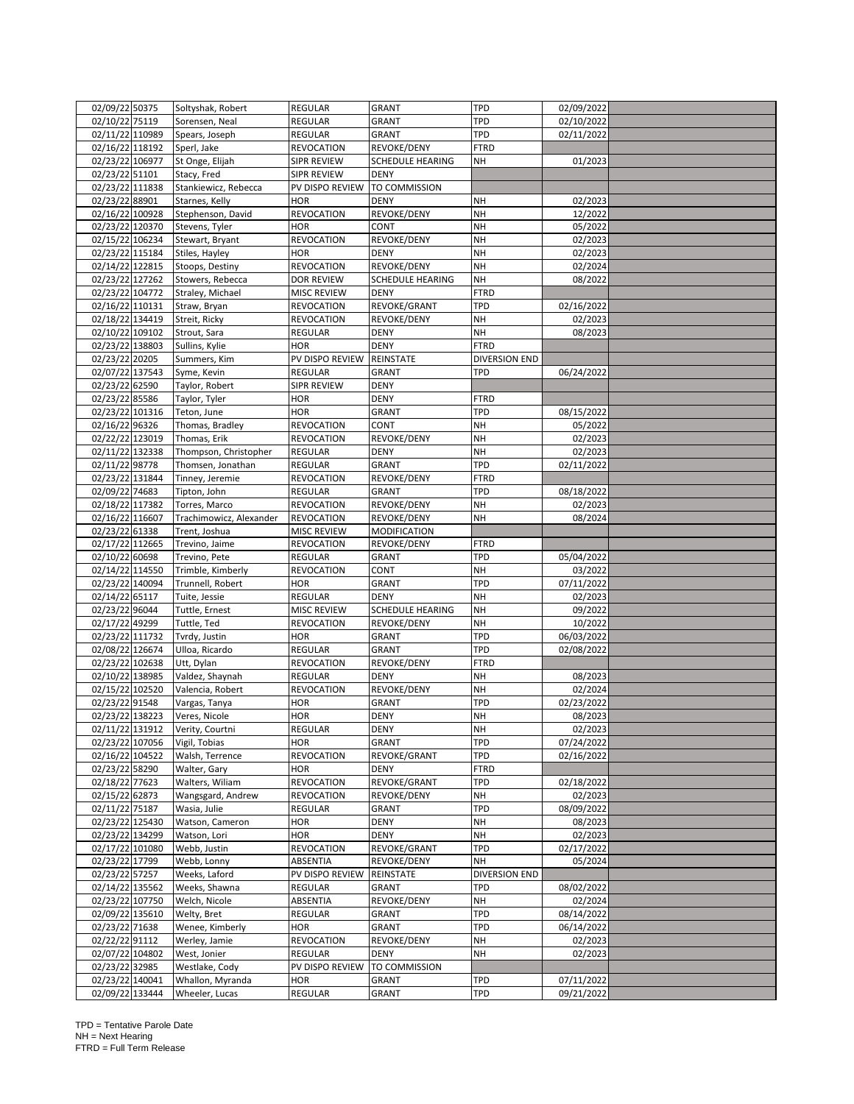| 02/09/22 50375                     | Soltyshak, Robert                   | REGULAR            | <b>GRANT</b>                | TPD           | 02/09/2022 |  |
|------------------------------------|-------------------------------------|--------------------|-----------------------------|---------------|------------|--|
| 02/10/22 75119                     | Sorensen, Neal                      | REGULAR            | GRANT                       | TPD           | 02/10/2022 |  |
| 02/11/22 110989                    | Spears, Joseph                      | REGULAR            | GRANT                       | TPD           | 02/11/2022 |  |
| 02/16/22 118192                    | Sperl, Jake                         | <b>REVOCATION</b>  | REVOKE/DENY                 | <b>FTRD</b>   |            |  |
| 02/23/22 106977                    | St Onge, Elijah                     | SIPR REVIEW        | <b>SCHEDULE HEARING</b>     | NΗ            | 01/2023    |  |
| 02/23/22 51101                     | Stacy, Fred                         | SIPR REVIEW        | <b>DENY</b>                 |               |            |  |
| 02/23/22 111838                    | Stankiewicz, Rebecca                | PV DISPO REVIEW    | TO COMMISSION               |               |            |  |
| 02/23/22 88901                     | Starnes, Kelly                      | <b>HOR</b>         | <b>DENY</b>                 | NΗ            | 02/2023    |  |
| 02/16/22 100928                    | Stephenson, David                   | <b>REVOCATION</b>  | REVOKE/DENY                 | NH            | 12/2022    |  |
| 02/23/22 120370                    | Stevens, Tyler                      | <b>HOR</b>         | CONT                        | <b>NH</b>     | 05/2022    |  |
| 02/15/22 106234                    | Stewart, Bryant                     | <b>REVOCATION</b>  | REVOKE/DENY                 | <b>NH</b>     | 02/2023    |  |
| 02/23/22 115184                    | Stiles, Hayley                      | <b>HOR</b>         | <b>DENY</b>                 | <b>NH</b>     | 02/2023    |  |
| 02/14/22 122815                    |                                     | <b>REVOCATION</b>  | REVOKE/DENY                 | <b>NH</b>     | 02/2024    |  |
| 02/23/22 127262                    | Stoops, Destiny<br>Stowers, Rebecca |                    |                             | <b>NH</b>     |            |  |
|                                    |                                     | <b>DOR REVIEW</b>  | <b>SCHEDULE HEARING</b>     |               | 08/2022    |  |
| 02/23/22 104772<br>02/16/22 110131 | Straley, Michael                    | <b>MISC REVIEW</b> | <b>DENY</b><br>REVOKE/GRANT | FTRD<br>TPD   |            |  |
|                                    | Straw, Bryan                        | <b>REVOCATION</b>  |                             |               | 02/16/2022 |  |
| 02/18/22 134419                    | Streit, Ricky                       | <b>REVOCATION</b>  | REVOKE/DENY                 | NΗ            | 02/2023    |  |
| 02/10/22 109102                    | Strout, Sara                        | <b>REGULAR</b>     | <b>DENY</b>                 | NΗ            | 08/2023    |  |
| 02/23/22 138803                    | Sullins, Kylie                      | <b>HOR</b>         | <b>DENY</b>                 | <b>FTRD</b>   |            |  |
| 02/23/22 20205                     | Summers, Kim                        | PV DISPO REVIEW    | REINSTATE                   | DIVERSION END |            |  |
| 02/07/22 137543                    | Syme, Kevin                         | REGULAR            | <b>GRANT</b>                | TPD           | 06/24/2022 |  |
| 02/23/22 62590                     | Taylor, Robert                      | SIPR REVIEW        | <b>DENY</b>                 |               |            |  |
| 02/23/22 85586                     | Taylor, Tyler                       | <b>HOR</b>         | <b>DENY</b>                 | <b>FTRD</b>   |            |  |
| 02/23/22 101316                    | Teton, June                         | <b>HOR</b>         | <b>GRANT</b>                | TPD           | 08/15/2022 |  |
| 02/16/22 96326                     | Thomas, Bradley                     | <b>REVOCATION</b>  | CONT                        | <b>NH</b>     | 05/2022    |  |
| 02/22/22 123019                    | Thomas, Erik                        | <b>REVOCATION</b>  | REVOKE/DENY                 | <b>NH</b>     | 02/2023    |  |
| 02/11/22 132338                    | Thompson, Christopher               | <b>REGULAR</b>     | <b>DENY</b>                 | NΗ            | 02/2023    |  |
| 02/11/22 98778                     | Thomsen, Jonathan                   | REGULAR            | GRANT                       | TPD           | 02/11/2022 |  |
| 02/23/22 131844                    | Tinney, Jeremie                     | <b>REVOCATION</b>  | REVOKE/DENY                 | <b>FTRD</b>   |            |  |
| 02/09/22 74683                     | Tipton, John                        | REGULAR            | <b>GRANT</b>                | TPD           | 08/18/2022 |  |
| 02/18/22 117382                    | Torres, Marco                       | <b>REVOCATION</b>  | REVOKE/DENY                 | <b>NH</b>     | 02/2023    |  |
| 02/16/22 116607                    | Trachimowicz, Alexander             | <b>REVOCATION</b>  | REVOKE/DENY                 | <b>NH</b>     | 08/2024    |  |
| 02/23/22 61338                     | Trent, Joshua                       | <b>MISC REVIEW</b> | <b>MODIFICATION</b>         |               |            |  |
| 02/17/22 112665                    | Trevino, Jaime                      | <b>REVOCATION</b>  | REVOKE/DENY                 | FTRD          |            |  |
| 02/10/22 60698                     | Trevino, Pete                       | <b>REGULAR</b>     | <b>GRANT</b>                | TPD           | 05/04/2022 |  |
| 02/14/22 114550                    | Trimble, Kimberly                   | <b>REVOCATION</b>  | CONT                        | <b>NH</b>     | 03/2022    |  |
| 02/23/22 140094                    | Trunnell, Robert                    | <b>HOR</b>         | <b>GRANT</b>                | TPD           | 07/11/2022 |  |
| 02/14/22 65117                     | Tuite, Jessie                       | REGULAR            | <b>DENY</b>                 | <b>NH</b>     | 02/2023    |  |
| 02/23/22 96044                     | Tuttle, Ernest                      | MISC REVIEW        | <b>SCHEDULE HEARING</b>     | NH            | 09/2022    |  |
| 02/17/22 49299                     | Tuttle, Ted                         | <b>REVOCATION</b>  | REVOKE/DENY                 | NΗ            | 10/2022    |  |
| 02/23/22 111732                    | Tvrdy, Justin                       | HOR                | <b>GRANT</b>                | TPD           | 06/03/2022 |  |
| 02/08/22 126674                    | Ulloa, Ricardo                      | REGULAR            | <b>GRANT</b>                | TPD           | 02/08/2022 |  |
| 02/23/22 102638                    | Utt, Dylan                          | <b>REVOCATION</b>  | REVOKE/DENY                 | FTRD          |            |  |
| 02/10/22 138985                    | Valdez, Shaynah                     | REGULAR            | <b>DENY</b>                 | <b>NH</b>     | 08/2023    |  |
| 02/15/22 102520                    | Valencia, Robert                    | <b>REVOCATION</b>  | REVOKE/DENY                 | NΗ            | 02/2024    |  |
| 02/23/22 91548                     | Vargas, Tanya                       | HOR                | <b>GRANT</b>                | TPD           | 02/23/2022 |  |
| 02/23/22 138223                    | Veres, Nicole                       | <b>HOR</b>         | <b>DENY</b>                 | NΗ            | 08/2023    |  |
|                                    |                                     |                    |                             |               |            |  |
| 02/11/22 131912                    | Verity, Courtni                     | REGULAR            | DENY                        | <b>NH</b>     | 02/2023    |  |
| 02/23/22 107056<br>02/16/22 104522 | Vigil, Tobias                       | <b>HOR</b>         | <b>GRANT</b>                | TPD           | 07/24/2022 |  |
|                                    | Walsh, Terrence                     | <b>REVOCATION</b>  | REVOKE/GRANT                | TPD           | 02/16/2022 |  |
| 02/23/22 58290                     | Walter, Gary                        | <b>HOR</b>         | <b>DENY</b>                 | FTRD          |            |  |
| 02/18/22 77623                     | Walters, Wiliam                     | <b>REVOCATION</b>  | REVOKE/GRANT                | TPD           | 02/18/2022 |  |
| 02/15/22 62873                     | Wangsgard, Andrew                   | <b>REVOCATION</b>  | REVOKE/DENY                 | NΗ            | 02/2023    |  |
| 02/11/22 75187                     | Wasia, Julie                        | REGULAR            | <b>GRANT</b>                | TPD           | 08/09/2022 |  |
| 02/23/22 125430                    | Watson, Cameron                     | HOR                | <b>DENY</b>                 | NΗ            | 08/2023    |  |
| 02/23/22 134299                    | Watson, Lori                        | <b>HOR</b>         | <b>DENY</b>                 | <b>NH</b>     | 02/2023    |  |
| 02/17/22 101080                    | Webb, Justin                        | <b>REVOCATION</b>  | REVOKE/GRANT                | TPD           | 02/17/2022 |  |
| 02/23/22 17799                     | Webb, Lonny                         | ABSENTIA           | REVOKE/DENY                 | NΗ            | 05/2024    |  |
| 02/23/22 57257                     | Weeks, Laford                       | PV DISPO REVIEW    | REINSTATE                   | DIVERSION END |            |  |
| 02/14/22 135562                    | Weeks, Shawna                       | REGULAR            | <b>GRANT</b>                | TPD           | 08/02/2022 |  |
| 02/23/22 107750                    | Welch, Nicole                       | ABSENTIA           | REVOKE/DENY                 | <b>NH</b>     | 02/2024    |  |
| 02/09/22 135610                    | Welty, Bret                         | REGULAR            | <b>GRANT</b>                | TPD           | 08/14/2022 |  |
| 02/23/22 71638                     | Wenee, Kimberly                     | <b>HOR</b>         | GRANT                       | TPD           | 06/14/2022 |  |
| 02/22/22 91112                     | Werley, Jamie                       | <b>REVOCATION</b>  | REVOKE/DENY                 | NΗ            | 02/2023    |  |
| 02/07/22 104802                    | West, Jonier                        | REGULAR            | <b>DENY</b>                 | <b>NH</b>     | 02/2023    |  |
| 02/23/22 32985                     | Westlake, Cody                      | PV DISPO REVIEW    | TO COMMISSION               |               |            |  |
| 02/23/22 140041                    | Whallon, Myranda                    | <b>HOR</b>         | <b>GRANT</b>                | TPD           | 07/11/2022 |  |
| 02/09/22 133444                    | Wheeler, Lucas                      | REGULAR            | <b>GRANT</b>                | TPD           | 09/21/2022 |  |
|                                    |                                     |                    |                             |               |            |  |